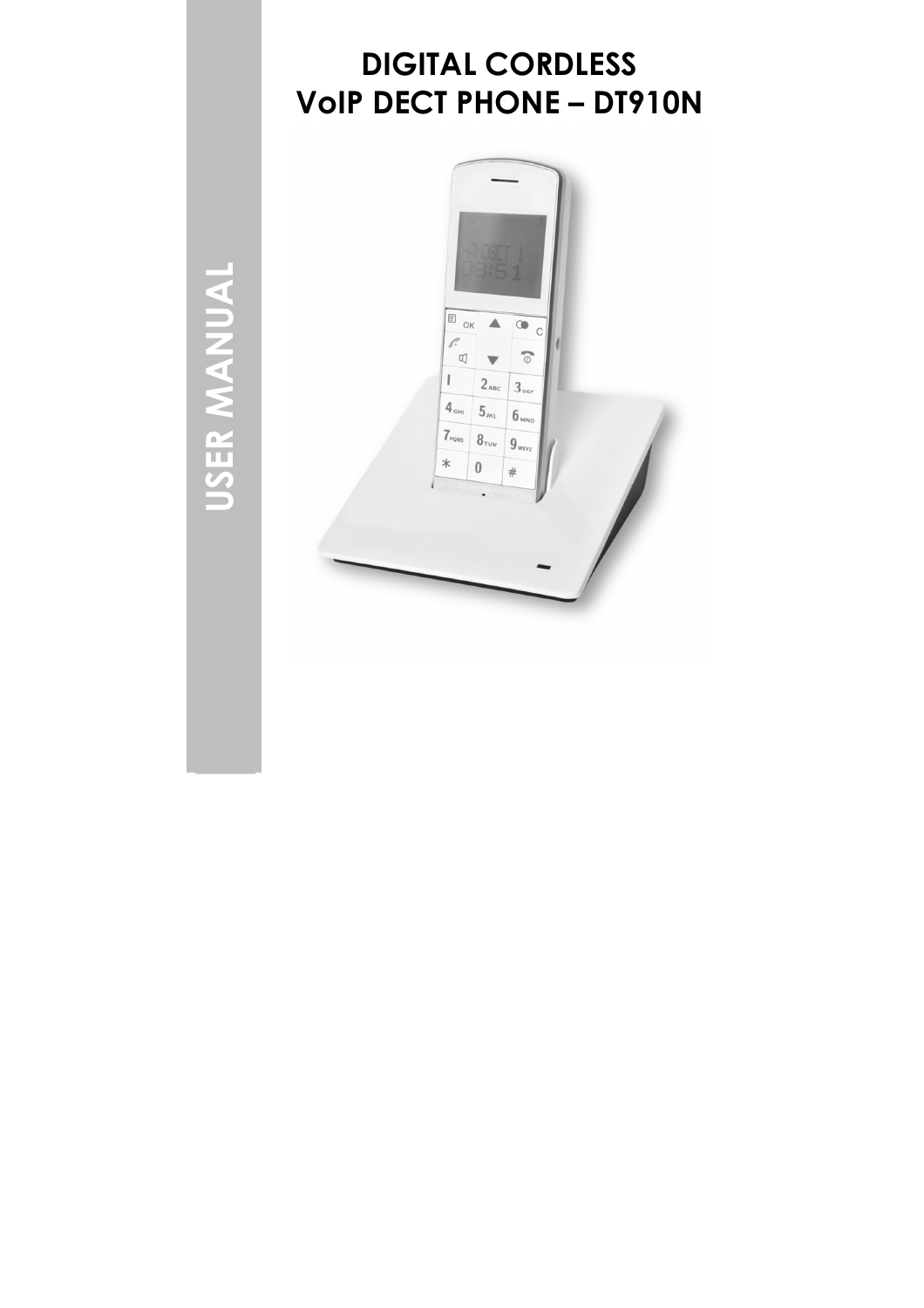# DIGITAL CORDLESS VoIP DECT PHONE – DT910N



USER MANUAL USER MANUAL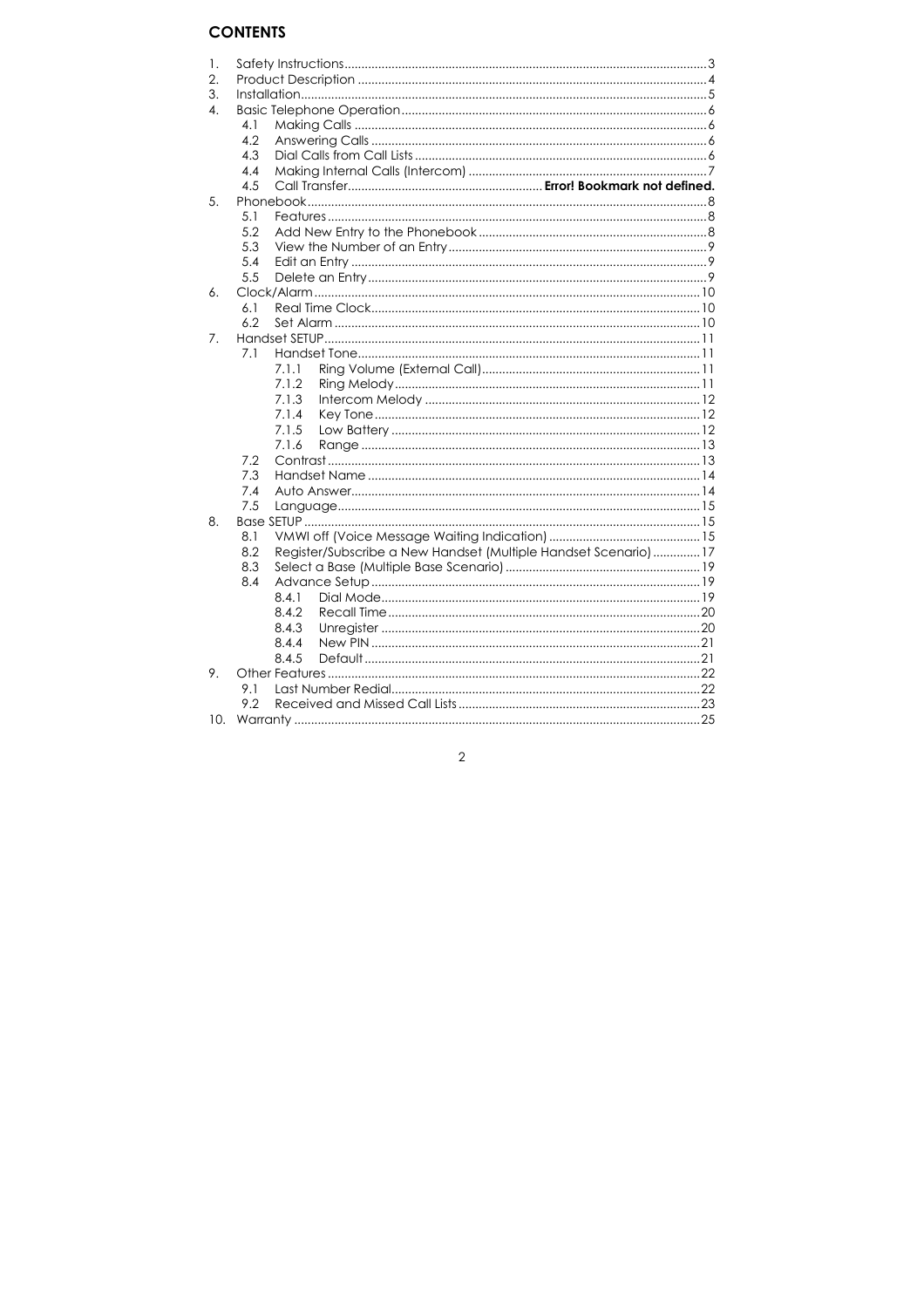### **CONTENTS**

| 1. |     |                                                                 |  |
|----|-----|-----------------------------------------------------------------|--|
| 2. |     |                                                                 |  |
| 3. |     |                                                                 |  |
| 4. |     |                                                                 |  |
|    | 4.1 |                                                                 |  |
|    | 4.2 |                                                                 |  |
|    | 4.3 |                                                                 |  |
|    | 4.4 |                                                                 |  |
|    | 4.5 |                                                                 |  |
| 5. |     |                                                                 |  |
|    | 5.1 |                                                                 |  |
|    | 5.2 |                                                                 |  |
|    | 5.3 |                                                                 |  |
|    | 5.4 |                                                                 |  |
|    | 5.5 |                                                                 |  |
| 6. |     |                                                                 |  |
|    | 6.1 |                                                                 |  |
|    | 6.2 |                                                                 |  |
| 7. |     |                                                                 |  |
|    | 7.1 |                                                                 |  |
|    |     | 7.1.1                                                           |  |
|    |     | 7.1.2                                                           |  |
|    |     | 7.1.3                                                           |  |
|    |     | 7.1.4                                                           |  |
|    |     | 7.1.5                                                           |  |
|    |     | 7.1.6                                                           |  |
|    | 7.2 |                                                                 |  |
|    | 7.3 |                                                                 |  |
|    | 7.4 |                                                                 |  |
|    | 7.5 |                                                                 |  |
| 8. |     |                                                                 |  |
|    | 8.1 |                                                                 |  |
|    | 8.2 | Register/Subscribe a New Handset (Multiple Handset Scenario) 17 |  |
|    | 8.3 |                                                                 |  |
|    |     |                                                                 |  |
|    | 8.4 |                                                                 |  |
|    |     | 8.4.1                                                           |  |
|    |     | 8.4.2                                                           |  |
|    |     | 8.4.3                                                           |  |
|    |     | 8.4.4                                                           |  |
|    |     | 8.4.5                                                           |  |
| 9. |     |                                                                 |  |
|    | 9.1 |                                                                 |  |
|    | 9.2 |                                                                 |  |
|    |     |                                                                 |  |

 $\overline{2}$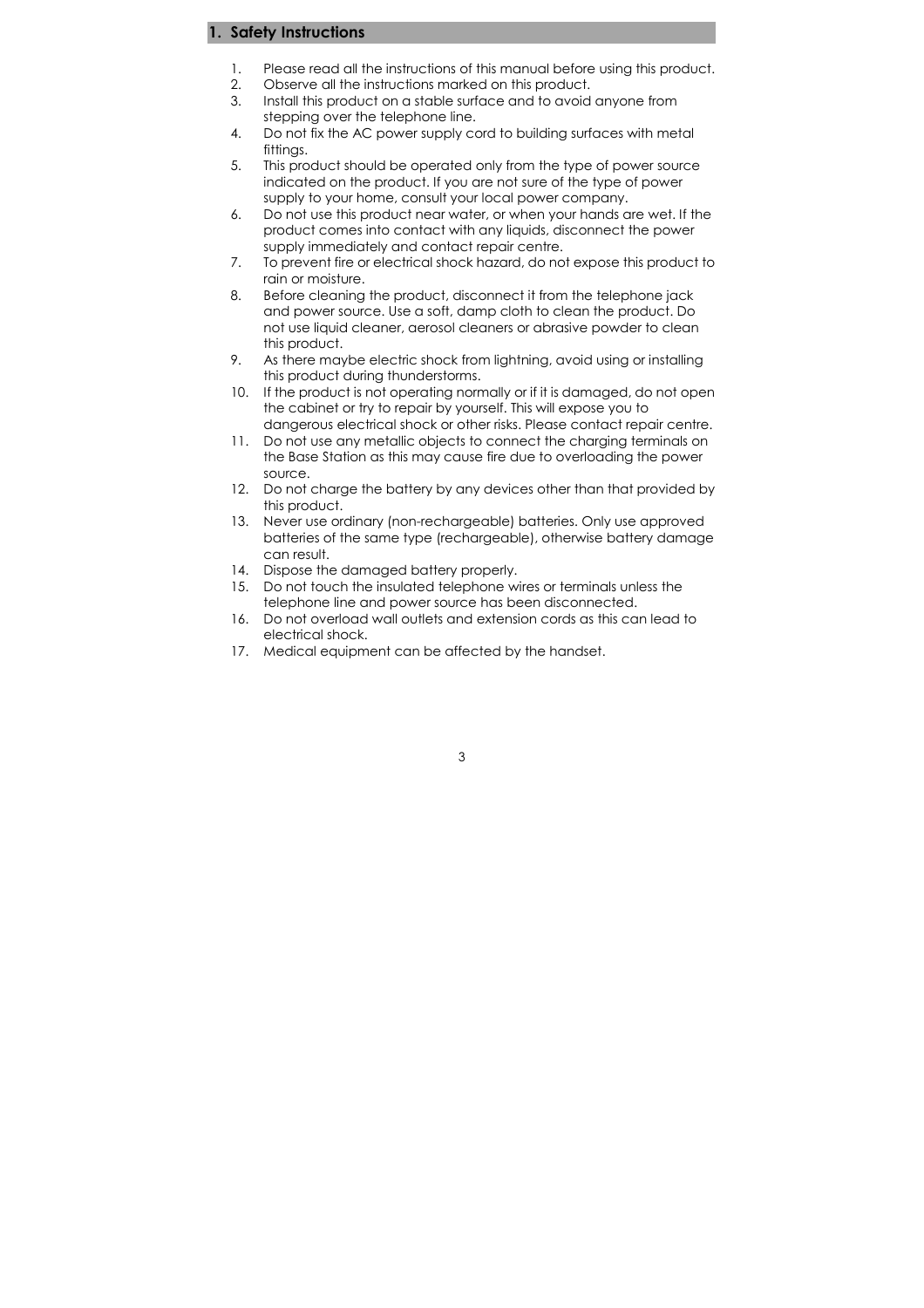#### 1. Safety Instructions

- 1. Please read all the instructions of this manual before using this product.
- 2. Observe all the instructions marked on this product.
- 3. Install this product on a stable surface and to avoid anyone from stepping over the telephone line.
- 4. Do not fix the AC power supply cord to building surfaces with metal fittings.
- 5. This product should be operated only from the type of power source indicated on the product. If you are not sure of the type of power supply to your home, consult your local power company.
- 6. Do not use this product near water, or when your hands are wet. If the product comes into contact with any liquids, disconnect the power supply immediately and contact repair centre.
- 7. To prevent fire or electrical shock hazard, do not expose this product to rain or moisture.
- 8. Before cleaning the product, disconnect it from the telephone jack and power source. Use a soft, damp cloth to clean the product. Do not use liquid cleaner, aerosol cleaners or abrasive powder to clean this product.
- 9. As there maybe electric shock from lightning, avoid using or installing this product during thunderstorms.
- 10. If the product is not operating normally or if it is damaged, do not open the cabinet or try to repair by yourself. This will expose you to dangerous electrical shock or other risks. Please contact repair centre.
- 11. Do not use any metallic objects to connect the charging terminals on the Base Station as this may cause fire due to overloading the power source.
- 12. Do not charge the battery by any devices other than that provided by this product.
- 13. Never use ordinary (non-rechargeable) batteries. Only use approved batteries of the same type (rechargeable), otherwise battery damage can result.
- 14. Dispose the damaged battery properly.
- 15. Do not touch the insulated telephone wires or terminals unless the telephone line and power source has been disconnected.
- 16. Do not overload wall outlets and extension cords as this can lead to electrical shock.
- 17. Medical equipment can be affected by the handset.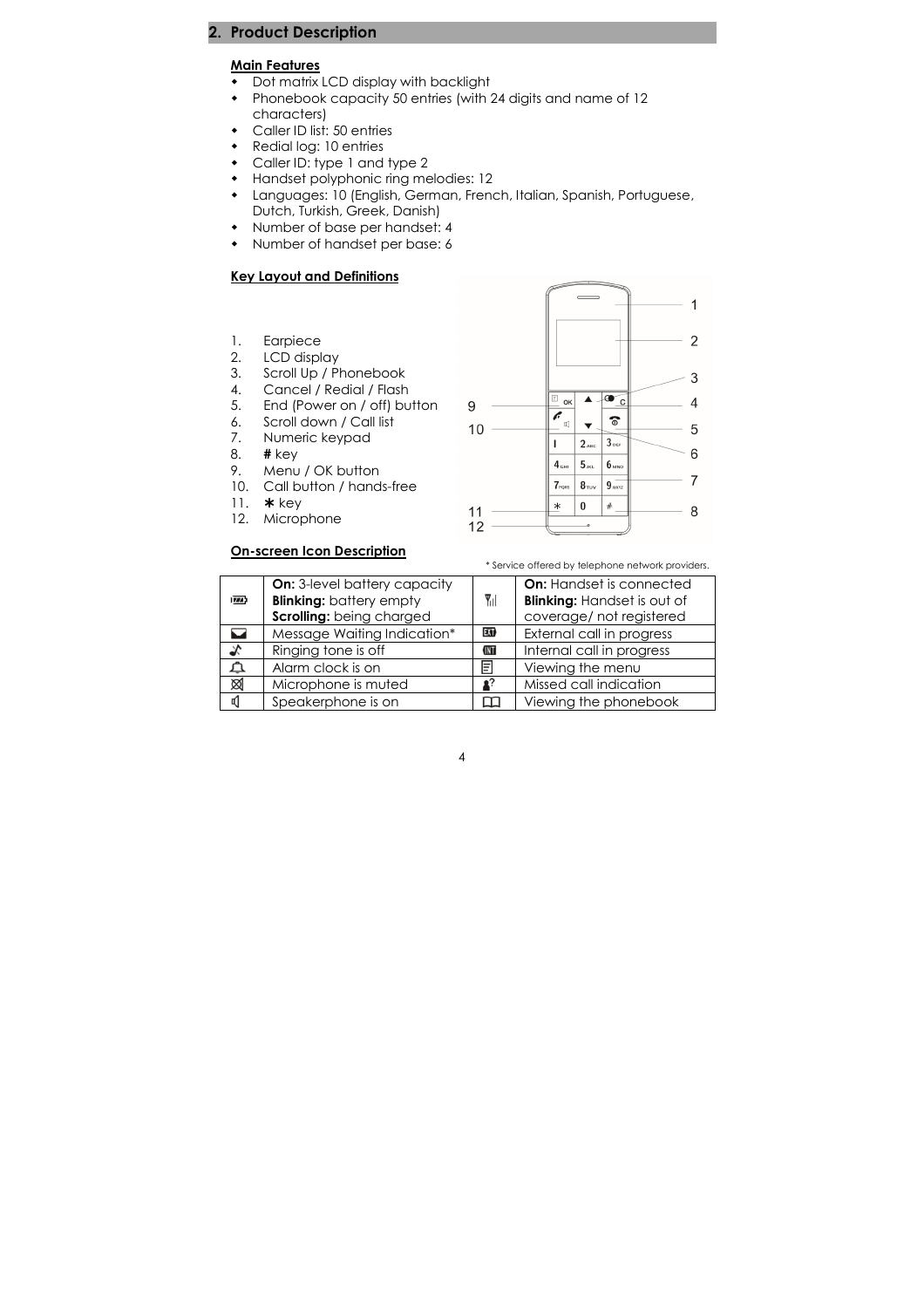### 2. Product Description

#### Main Features

- Dot matrix LCD display with backlight
- Phonebook capacity 50 entries (with 24 digits and name of 12 characters)
- Caller ID list: 50 entries
- Redial log: 10 entries
- Caller ID: type 1 and type 2
- Handset polyphonic ring melodies: 12
- Languages: 10 (English, German, French, Italian, Spanish, Portuguese, Dutch, Turkish, Greek, Danish)
- Number of base per handset: 4
- Number of handset per base: 6

#### Key Layout and Definitions

- 1. Earpiece
- 2. LCD display
- 3. Scroll Up / Phonebook<br>4. Cancel / Redial / Flash
- Cancel / Redial / Flash
- 5. End (Power on / off) button
- 6. Scroll down / Call list<br>7. Numeric keypad
- 7. Numeric keypad<br>8. **#** key
- $#$  key
- 9. Menu / OK button
- 10. Call button / hands-free
- 11.  $*$  key
- 12. Microphone

#### On-screen Icon Description



\* Service offered by telephone network providers.

| $\overline{1774}$ | <b>On:</b> 3-level battery capacity<br><b>Blinking:</b> battery empty<br>Scrolling: being charged | $\P$ il          | <b>On:</b> Handset is connected<br><b>Blinking: Handset is out of</b><br>coverage/ not registered |
|-------------------|---------------------------------------------------------------------------------------------------|------------------|---------------------------------------------------------------------------------------------------|
|                   | Message Waiting Indication*                                                                       | EXT <sub>b</sub> | External call in progress                                                                         |
| Ÿ,                | Ringing tone is off                                                                               | <b>KNT</b>       | Internal call in progress                                                                         |
| ጣ                 | Alarm clock is on                                                                                 | E                | Viewing the menu                                                                                  |
| ⊠                 | Microphone is muted                                                                               |                  | Missed call indication                                                                            |
| ď۱                | Speakerphone is on                                                                                |                  | Viewing the phonebook                                                                             |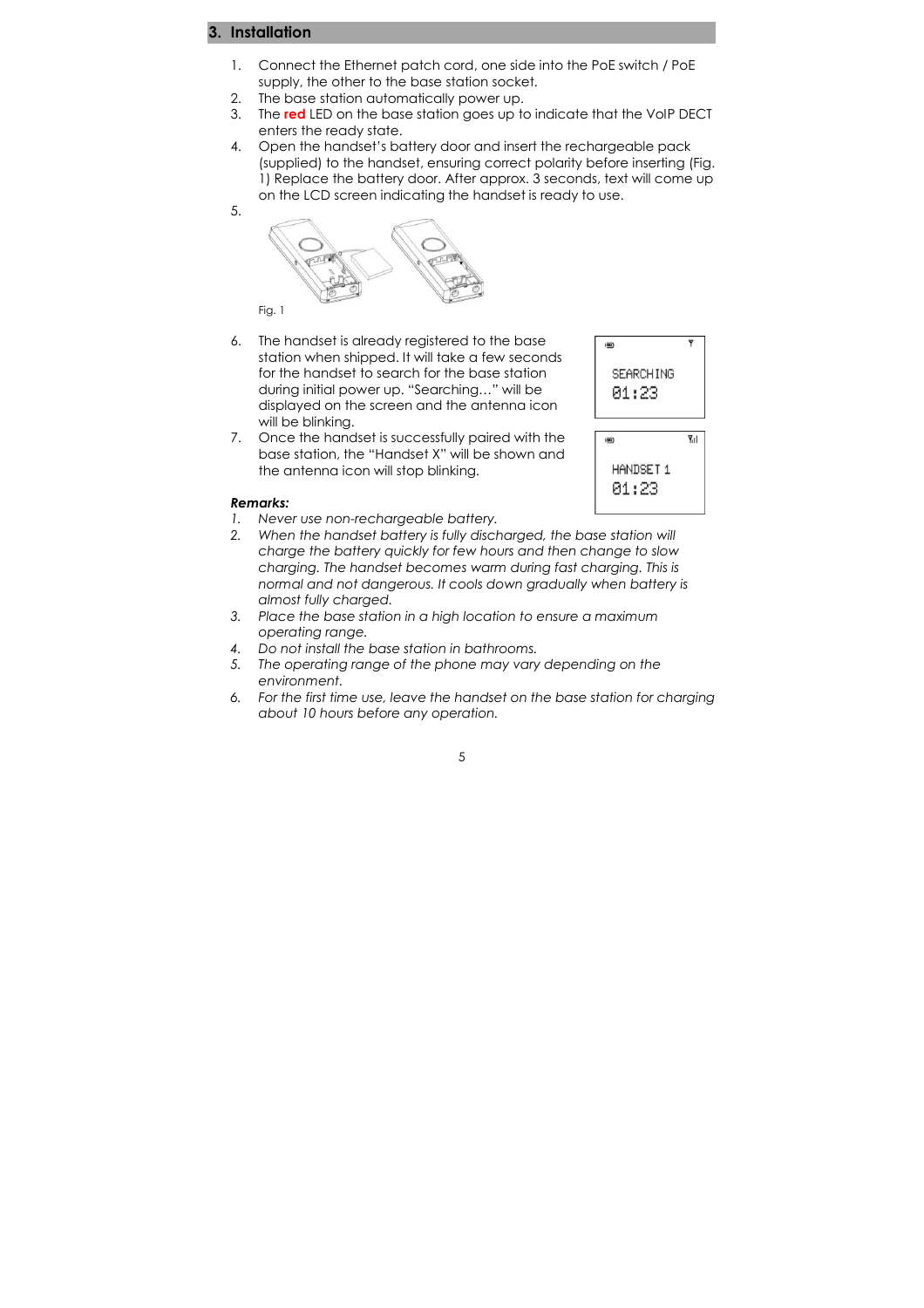### 3. Installation

5.

- 1. Connect the Ethernet patch cord, one side into the PoE switch / PoE supply, the other to the base station socket.
- 2. The base station automatically power up.
- 3. The red LED on the base station goes up to indicate that the VoIP DECT enters the ready state.
- 4. Open the handset's battery door and insert the rechargeable pack (supplied) to the handset, ensuring correct polarity before inserting (Fig. 1) Replace the battery door. After approx. 3 seconds, text will come up on the LCD screen indicating the handset is ready to use.



6. The handset is already registered to the base station when shipped. It will take a few seconds for the handset to search for the base station during initial power up. "Searching…" will be displayed on the screen and the antenna icon will be blinking.



01:23

 $\overline{\mathbf{v}}$ 

 $\overline{m}$ 

7. Once the handset is successfully paired with the base station, the "Handset X" will be shown and the antenna icon will stop blinking.

#### Remarks:

- 1. Never use non-rechargeable battery.
- 2. When the handset battery is fully discharged, the base station will charge the battery quickly for few hours and then change to slow charging. The handset becomes warm during fast charging. This is normal and not dangerous. It cools down gradually when battery is almost fully charged.
- 3. Place the base station in a high location to ensure a maximum operating range.
- 4. Do not install the base station in bathrooms.
- 5. The operating range of the phone may vary depending on the environment.
- 6. For the first time use, leave the handset on the base station for charging about 10 hours before any operation.

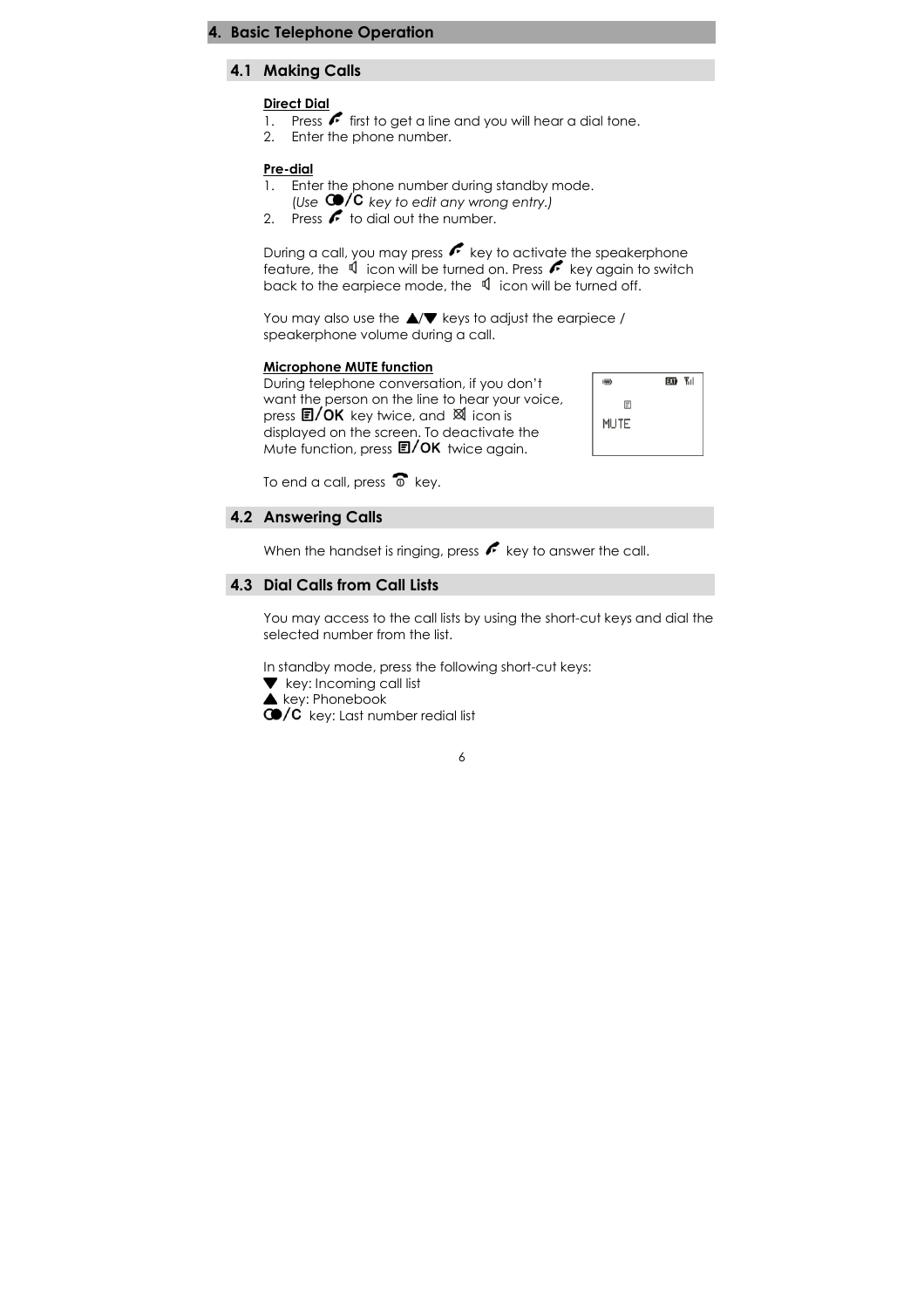#### **Basic Telephone Operation**

#### 4.1 Making Calls

#### Direct Dial

- 1. Press  $\leftarrow$  first to get a line and you will hear a dial tone.
- 2. Enter the phone number.

#### Pre-dial

- 1. Enter the phone number during standby mode.
	- (Use  $\bigcirc$ /C key to edit any wrong entry.)
- 2. Press  $\sim$  to dial out the number.

During a call, you may press  $\sqrt{\phantom{a}}$  key to activate the speakerphone feature, the  $\mathbb{I}$  icon will be turned on. Press  $\mathbf{F}$  key again to switch back to the earpiece mode, the  $\mathbb{I}$  icon will be turned off.

You may also use the  $\triangle/\blacktriangledown$  keys to adjust the earpiece / speakerphone volume during a call.

#### Microphone MUTE function

During telephone conversation, if you don't want the person on the line to hear your voice, press  $\Box / OK$  key twice, and  $\boxtimes$  icon is displayed on the screen. To deactivate the Mute function, press  $\Box /OK$  twice again.



To end a call, press  $\widehat{\Phi}$  key.

#### 4.2 Answering Calls

When the handset is ringing, press  $f$  key to answer the call.

### 4.3 Dial Calls from Call Lists

You may access to the call lists by using the short-cut keys and dial the selected number from the list.

In standby mode, press the following short-cut keys:

- **v** key: Incoming call list
- $\blacktriangle$  key: Phonebook
- $\mathbb{C}$  key: Last number redial list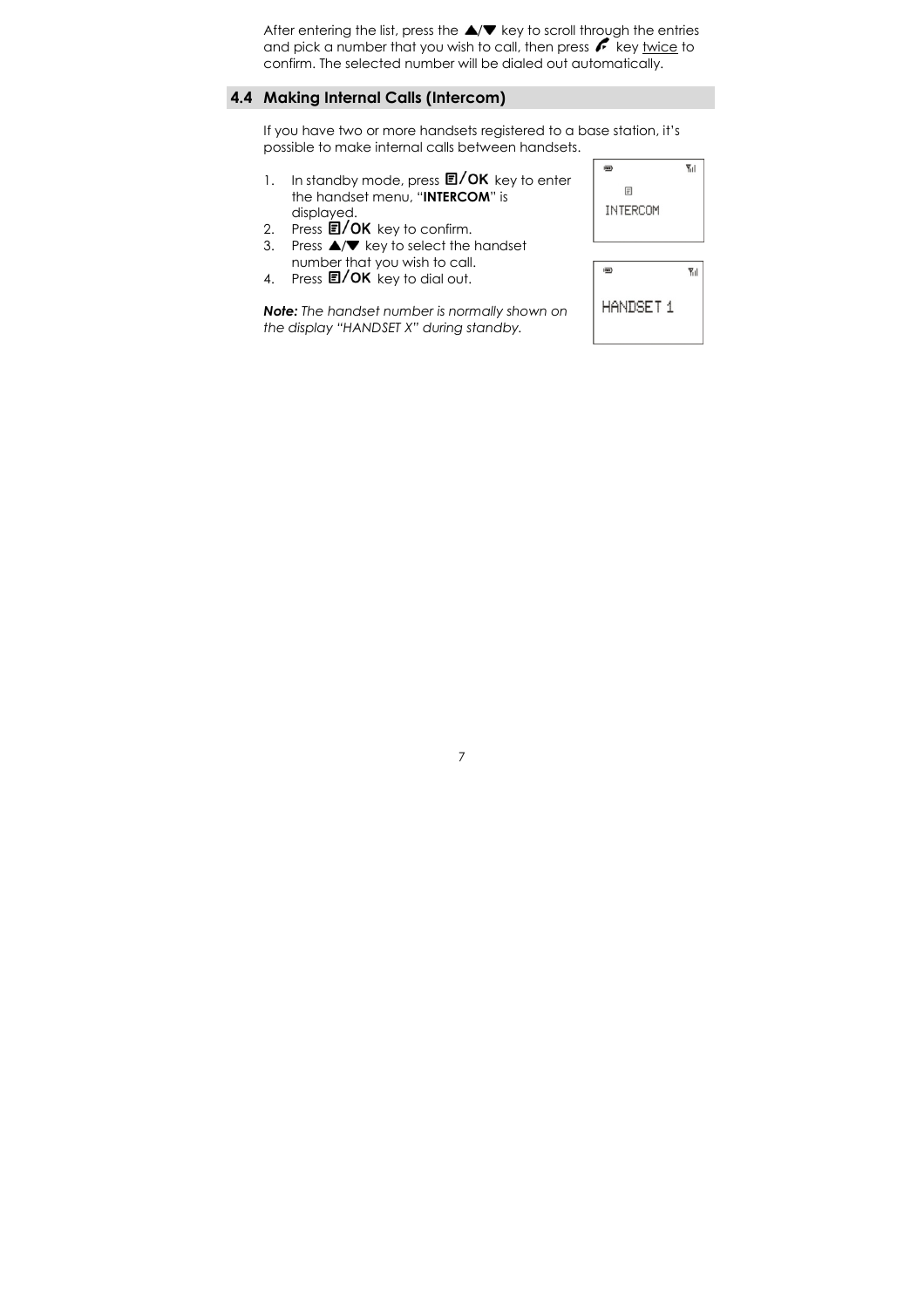After entering the list, press the  $\triangle/\blacktriangledown$  key to scroll through the entries and pick a number that you wish to call, then press  $k$  key twice to confirm. The selected number will be dialed out automatically.

### 4.4 Making Internal Calls (Intercom)

If you have two or more handsets registered to a base station, it's possible to make internal calls between handsets.

- 1. In standby mode, press  $\Box /OK$  key to enter the handset menu, "INTERCOM" is displayed.
- 
- 2. Press  $\overline{\mathbf{E}} / \mathbf{OK}$  key to confirm.<br>3. Press  $\blacktriangle / \blacktriangledown$  key to select the Press  $\triangle/\blacktriangledown$  key to select the handset number that you wish to call.
- 4. Press 2/OK key to dial out.

Note: The handset number is normally shown on the display "HANDSET X" during standby.



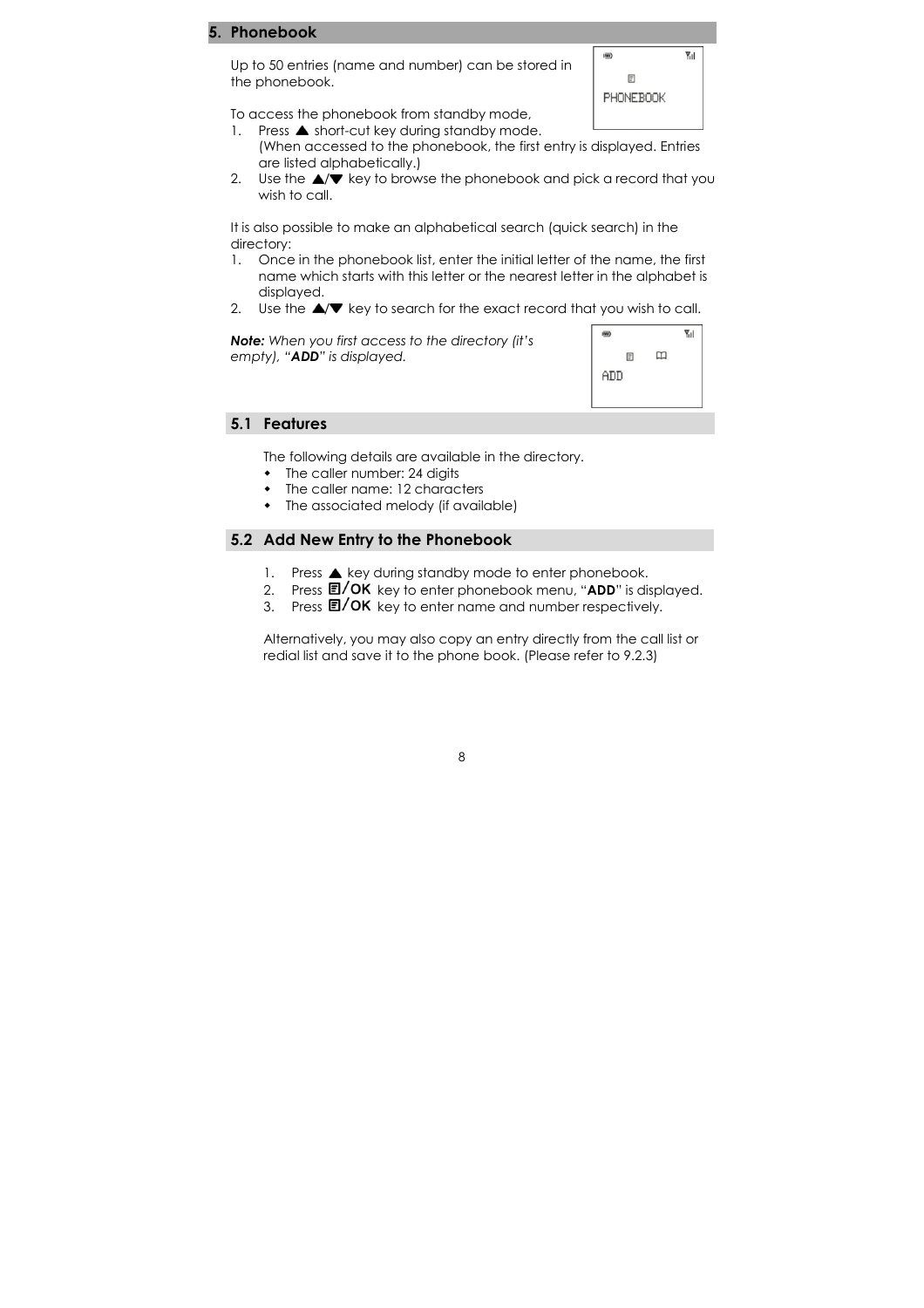#### **Phonebook**

Up to 50 entries (name and number) can be stored in the phonebook.



To access the phonebook from standby mode, 1. Press  $\triangle$  short-cut key during standby mode.

- (When accessed to the phonebook, the first entry is displayed. Entries are listed alphabetically.)
- 2. Use the  $\triangle/\blacktriangledown$  key to browse the phonebook and pick a record that you wish to call.

It is also possible to make an alphabetical search (quick search) in the directory:

- 1. Once in the phonebook list, enter the initial letter of the name, the first name which starts with this letter or the nearest letter in the alphabet is displayed.
- 2. Use the  $\triangle / \triangledown$  key to search for the exact record that you wish to call.

Note: When you first access to the directory (it's empty), "ADD" is displayed.



#### 5.1 Features

The following details are available in the directory.

- The caller number: 24 digits
- The caller name: 12 characters
- The associated melody (if available)

#### 5.2 Add New Entry to the Phonebook

- 1. Press  $\triangle$  key during standby mode to enter phonebook.
- 2. Press  $\Box / OK$  key to enter phonebook menu, "ADD" is displayed.
- 3. Press  $\Box$ / OK key to enter name and number respectively.

Alternatively, you may also copy an entry directly from the call list or redial list and save it to the phone book. (Please refer to 9.2.3)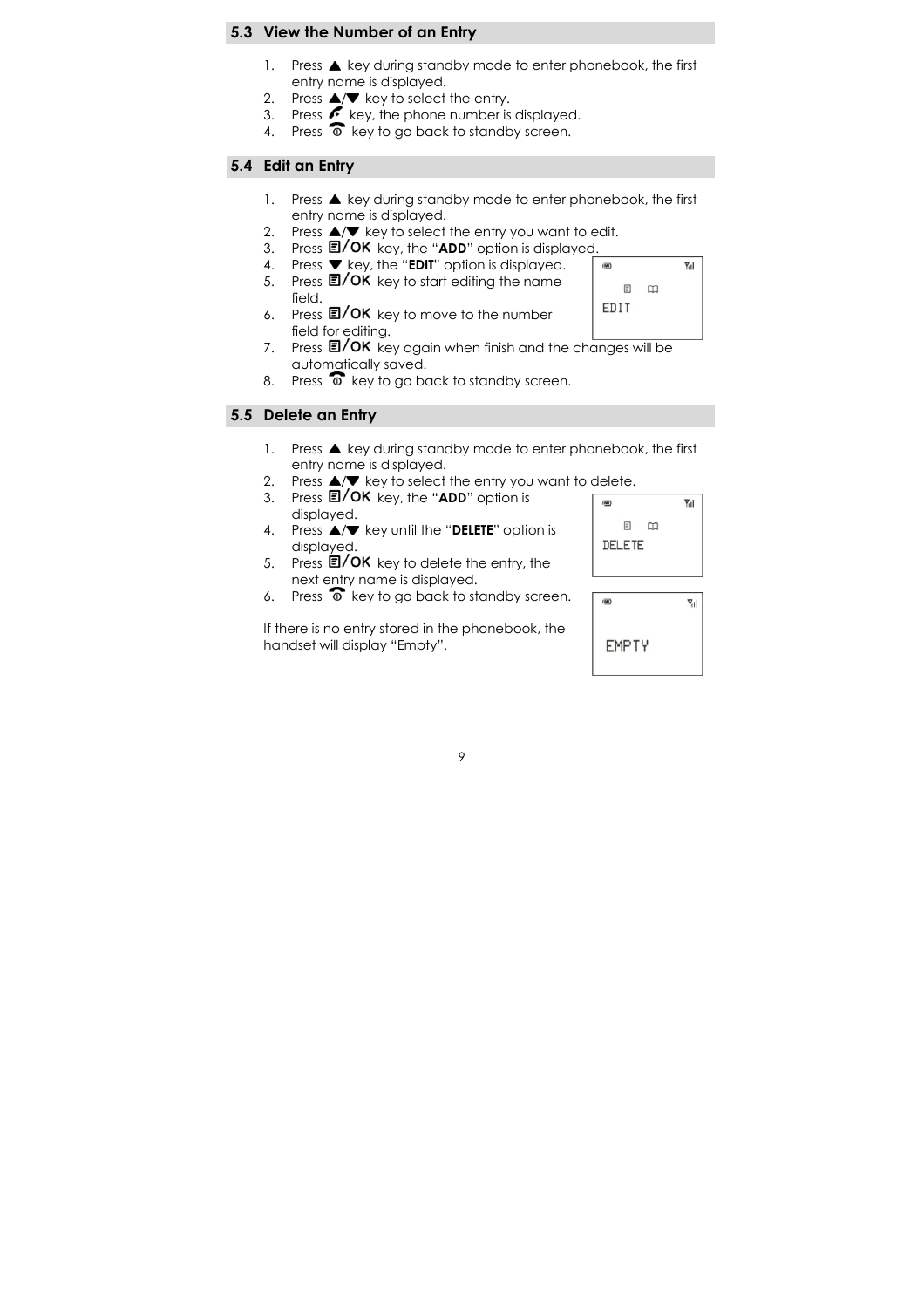#### 5.3 View the Number of an Entry

- 1. Press  $\triangle$  key during standby mode to enter phonebook, the first entry name is displayed.
- 2. Press  $\triangle/\blacktriangledown$  key to select the entry.
- 3. Press  $\leftarrow$  key, the phone number is displayed.
- 4. Press  $\overline{\circ}$  key to go back to standby screen.

### 5.4 Edit an Entry

- 1. Press  $\triangle$  key during standby mode to enter phonebook, the first entry name is displayed.
- 2. Press  $\triangle$ / $\blacktriangledown$  key to select the entry you want to edit.
- 3. Press  $\mathbf{E}/\mathbf{OK}$  key, the "ADD" option is displayed.
- 4. Press  $\blacktriangledown$  key, the "EDIT" option is displayed.
- 5. Press  $\blacksquare / OK$  key to start editing the name field.
- 6. Press  $\Box$ / OK key to move to the number field for editing.
- 7. Press  $\overline{\mathbb{E}/\text{OK}}$  key again when finish and the changes will be automatically saved.
- 8. Press  $\widehat{\bullet}$  key to go back to standby screen.

### 5.5 Delete an Entry

- 1. Press  $\triangle$  key during standby mode to enter phonebook, the first entry name is displayed.
- 2. Press  $\triangle/\blacktriangledown$  key to select the entry you want to delete.
- 3. Press **E/OK** key, the "ADD" option is displayed.
- 4. Press  $\triangle/\nabla$  key until the "DELETE" option is displayed.
- 5. Press  $\Box$ / OK key to delete the entry, the next entry name is displayed.
- 6. Press  $\overline{\circ}$  key to go back to standby screen.

If there is no entry stored in the phonebook, the handset will display "Empty".



 $\P$ <sub>1</sub>

 $\overline{\mathbf{m}}$ 

 $\boxed{\equiv}$  $\square$ 

EDIT

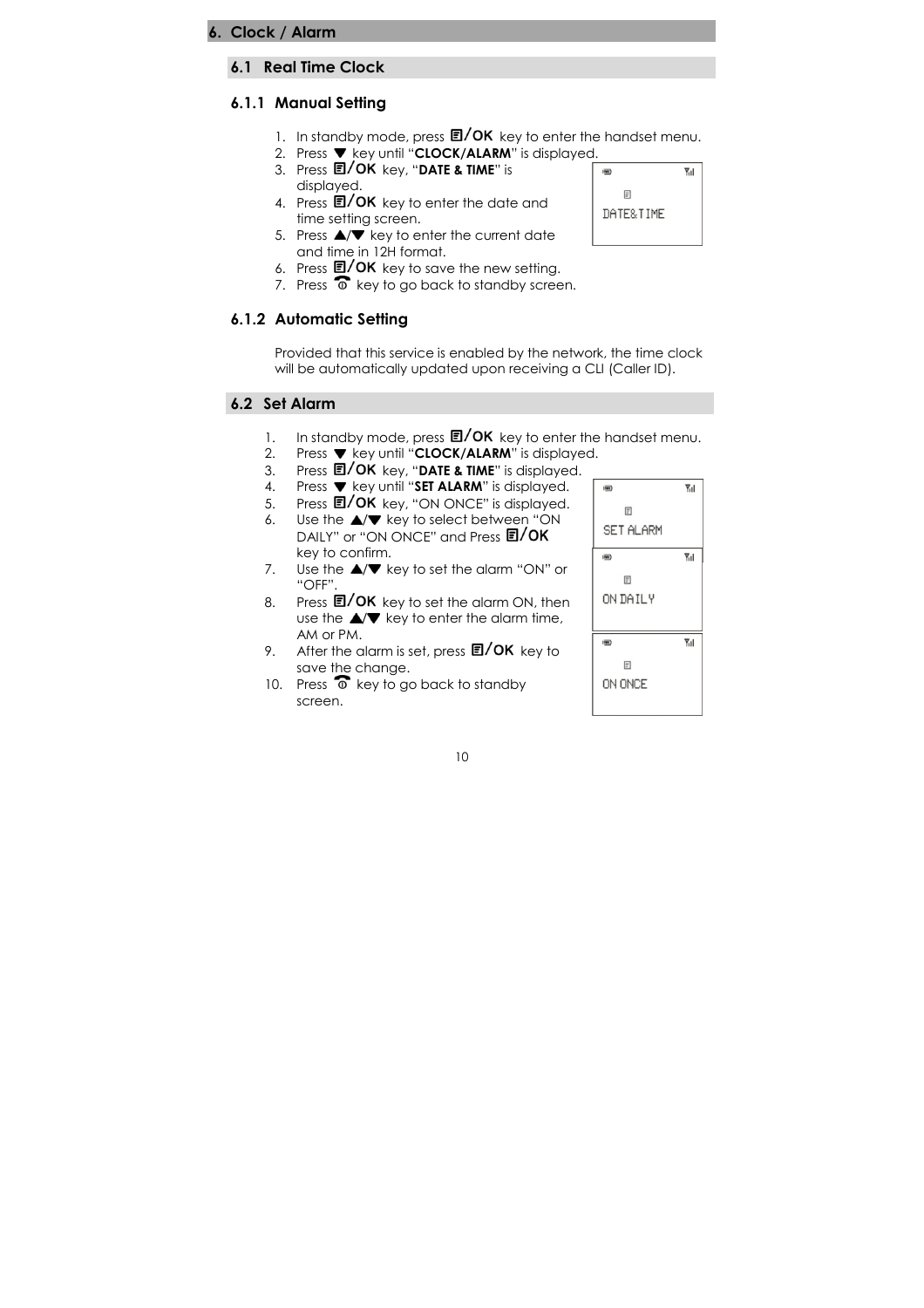### 6.1 Real Time Clock

### 6.1.1 Manual Setting

- 1. In standby mode, press  $\mathbf{E}/\mathbf{OK}$  key to enter the handset menu.
- 2. Press  $\blacktriangledown$  key until "CLOCK/ALARM" is displayed.
- 3. Press  $\Box / OK$  key, "DATE & TIME" is displayed.
- 4. Press  $\Box$ / OK key to enter the date and time setting screen.
- 5. Press  $\triangle$ / $\blacktriangledown$  key to enter the current date and time in 12H format.
- 6. Press  $\Box$ / OK key to save the new setting.
- 7. Press  $\widehat{\bullet}$  key to go back to standby screen.

### 6.1.2 Automatic Setting

Provided that this service is enabled by the network, the time clock will be automatically updated upon receiving a CLI (Caller ID).

### 6.2 Set Alarm

- 1. In standby mode, press  $\Box / OK$  key to enter the handset menu.<br>2. Press  $\nabla$  key until "**CLOCK/ALARM**" is displayed.
- 2. Press ▼ key until "**CLOCK/ALARM**" is displayed.
- 3. Press 国/OK key, "DATE & TIME" is displayed.
- 4. Press ▼ key until "SET ALARM" is displayed.<br>5. Press **E/OK** key, "ON ONCE" is displayed.
- Press **E/OK** key, "ON ONCE" is displayed.
- 6. Use the  $\triangle/\blacktriangledown$  key to select between "ON DAILY" or "ON ONCE" and Press **t/OK** key to confirm.
- 7. Use the  $\triangle/\blacktriangledown$  key to set the alarm "ON" or "OFF".
- 8. Press  $\Box$ / OK key to set the alarm ON, then use the  $\triangle/\blacktriangledown$  key to enter the alarm time, AM or PM.
- 9. After the alarm is set, press  $\Box /OK$  key to save the change.
- 10. Press  $\overline{\bullet}$  key to go back to standby screen.



 $\overline{\mathbf{m}}$ 

 $\mathbb{F}$ DATE&TIME  $\overline{Y}_{11}$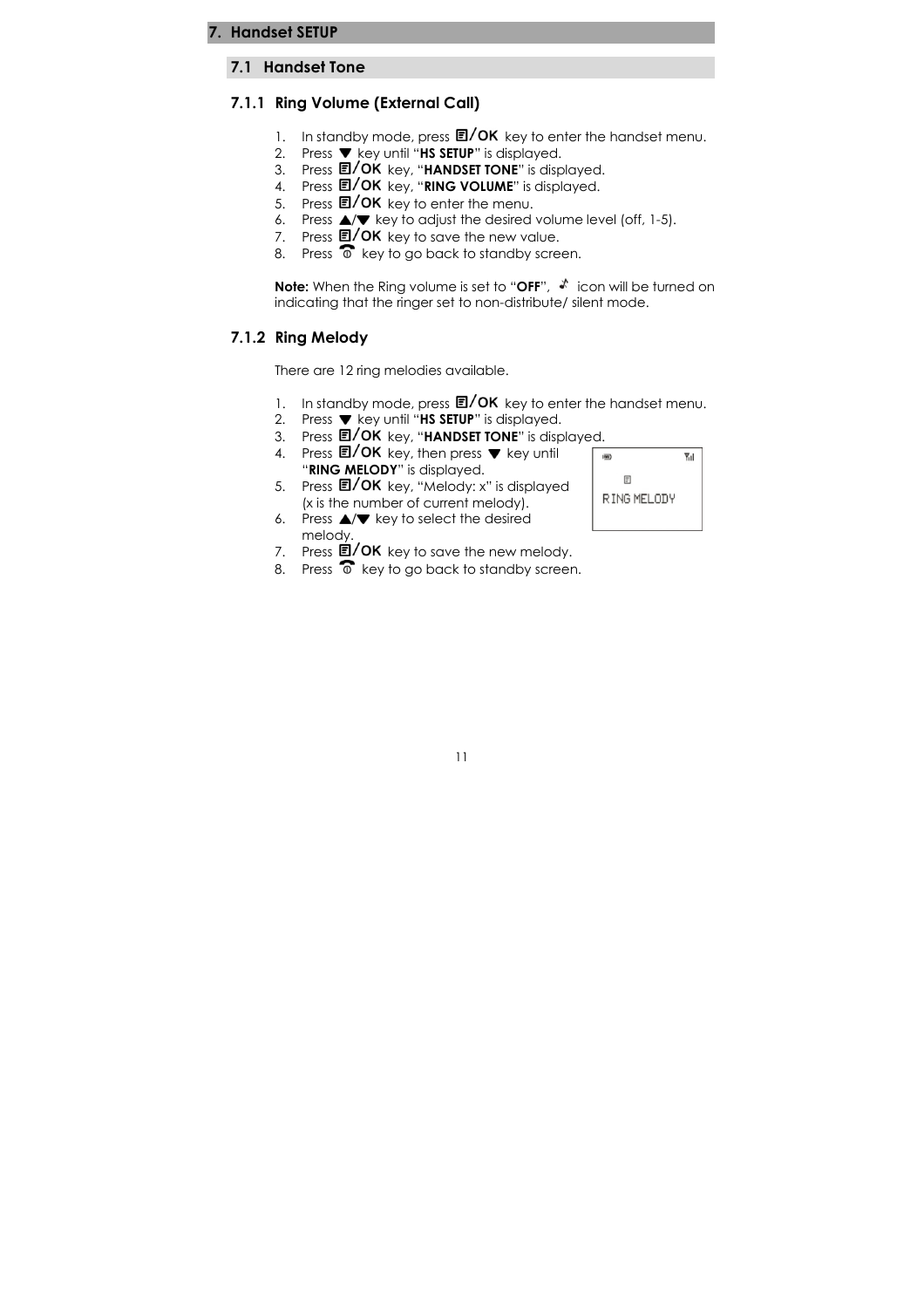#### 7.1 Handset Tone

#### 7.1.1 Ring Volume (External Call)

- 1. In standby mode, press  $\Box / OK$  key to enter the handset menu.
- 2. Press  $\blacktriangledown$  key until "HS SETUP" is displayed.
- 3. Press 国/OK key, "HANDSET TONE" is displayed.
- 4. Press  $\mathbb{E}/\mathsf{OK}$  key, "RING VOLUME" is displayed.
- 5. Press  $\Box$ / OK key to enter the menu.
- 6. Press  $\triangle/\blacktriangledown$  key to adjust the desired volume level (off, 1-5).
- 7. Press  $\overline{E}/OK$  key to save the new value.
- 8. Press  $\overline{\bullet}$  key to go back to standby screen.

**Note:** When the Ring volume is set to "OFF",  $\sqrt{\ }$  icon will be turned on indicating that the ringer set to non-distribute/ silent mode.

#### 7.1.2 Ring Melody

There are 12 ring melodies available.

- 1. In standby mode, press  $\mathbb{E}/\mathsf{OK}$  key to enter the handset menu.
- 2. Press Wey until "HS SETUP" is displayed.
- 3. Press  $\blacksquare / OK$  key, "HANDSET TONE" is displayed.
- 4. Press  $\blacksquare / OK$  key, then press  $\blacktriangledown$  key until "RING MELODY" is displayed.
- 5. Press **国/OK** key, "Melody: x" is displayed (x is the number of current melody).
- 6. Press  $\triangle/\blacktriangledown$  key to select the desired melody.
- 7. Press  $\overline{\mathbf{E}}$ /OK key to save the new melody.
- 8. Press  $\widehat{\Phi}$  key to go back to standby screen.

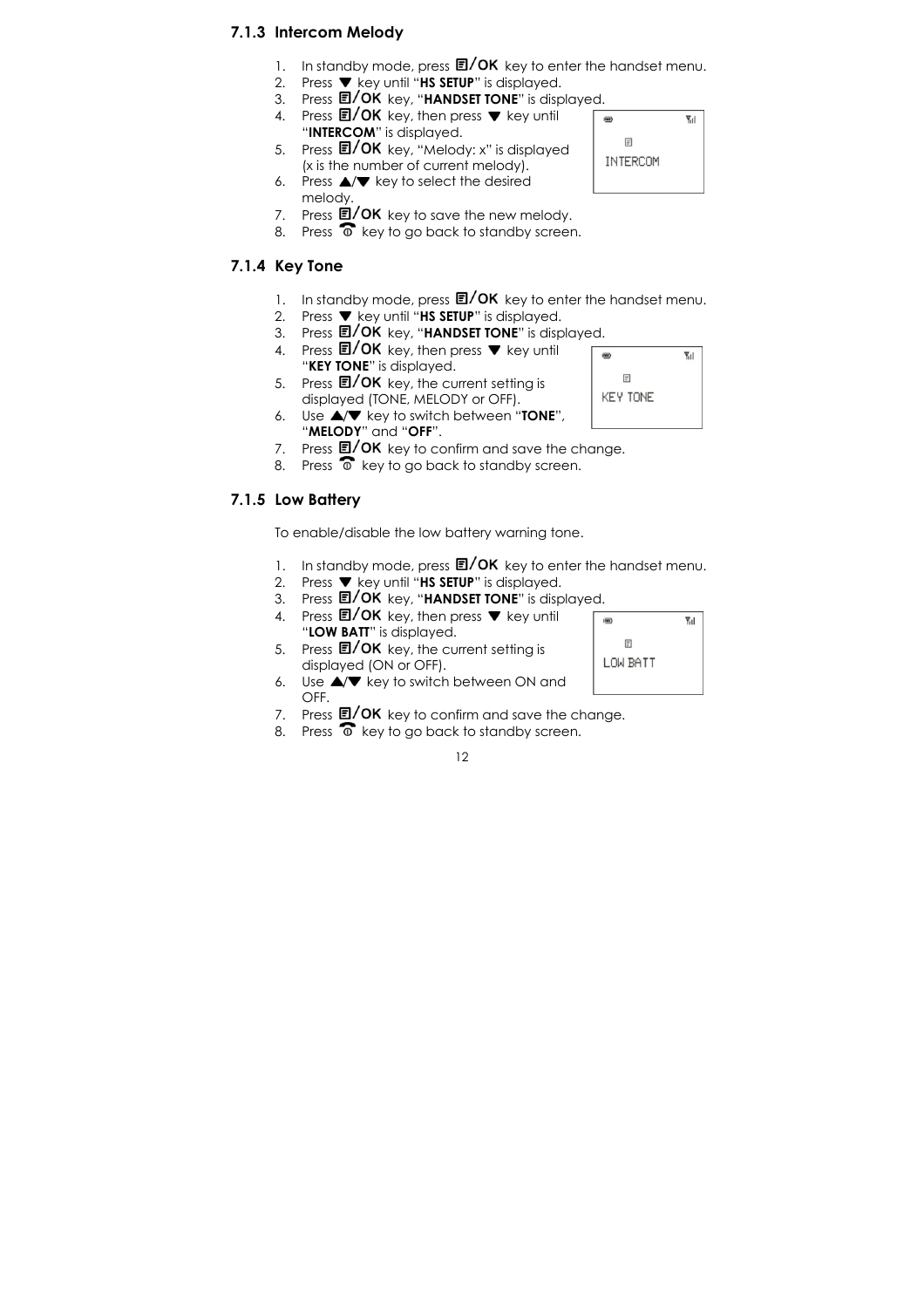### 7.1.3 Intercom Melody

- 1. In standby mode, press  $\Box/\mathrm{OK}$  key to enter the handset menu.
- 2. Press  $\blacktriangledown$  key until "HS SETUP" is displayed.
- 3. Press  $\blacksquare / \mathsf{OK}$  key, "HANDSET TONE" is displayed.
- 4. Press  $\blacksquare / OK$  key, then press  $\blacktriangledown$  key until
- "INTERCOM" is displayed. 5. Press **E/OK** key, "Melody: x" is displayed
- (x is the number of current melody).

6. Press  $\triangle/\blacktriangledown$  key to select the desired melody.

- 7. Press  $\overline{\mathbb{E}}$ /OK key to save the new melody.
- 8. Press  $\overline{\bullet}$  key to go back to standby screen.

### 7.1.4 Key Tone

- 1. In standby mode, press  $\Box/\mathrm{OK}$  key to enter the handset menu.
- 2. Press  $\blacktriangledown$  key until "HS SETUP" is displayed.
- 3. Press  $\blacksquare / \mathsf{OK}$  key, "HANDSET TONE" is displayed.
- 4. Press  $\blacksquare / OK$  key, then press  $\blacktriangledown$  key until
- "**KEY TONE**" is displayed. 5. Press  $E$ / OK key, the current setting is displayed (TONE, MELODY or OFF).
- 6. Use  $\triangle/\blacktriangledown$  key to switch between "TONE", "MELODY" and "OFF".
- 7. Press  $\Box$ / OK key to confirm and save the change.
- 8. Press  $\widehat{\bullet}$  key to go back to standby screen.

### 7.1.5 Low Battery

To enable/disable the low battery warning tone.

- 1. In standby mode, press  $\mathbb{E}/\mathsf{OK}$  key to enter the handset menu.
- 2. Press  $\blacktriangledown$  key until "HS SETUP" is displayed.
- 3. Press  $\blacksquare / OK$  key, "HANDSET TONE" is displayed.
- 4. Press  $\blacksquare / OK$  key, then press  $\blacktriangledown$  key until "LOW BATT" is displayed.
- 5. Press  $\Box / OK$  key, the current setting is displayed (ON or OFF).
- 6. Use  $\triangle/\blacktriangledown$  key to switch between ON and OFF.
- 7. Press  $\mathbb{E}/\mathsf{OK}$  key to confirm and save the change.
- 8. Press  $\overline{\bullet}$  key to go back to standby screen.





 $\overline{Y}_{11}$ 

 $\Psi$ <sub>u</sub>

 $\overline{m}$ 

 $\overline{m}$ 

 $\mathbb{F}$ KEY TONE

 $\mathbb{F}$ INTERCOM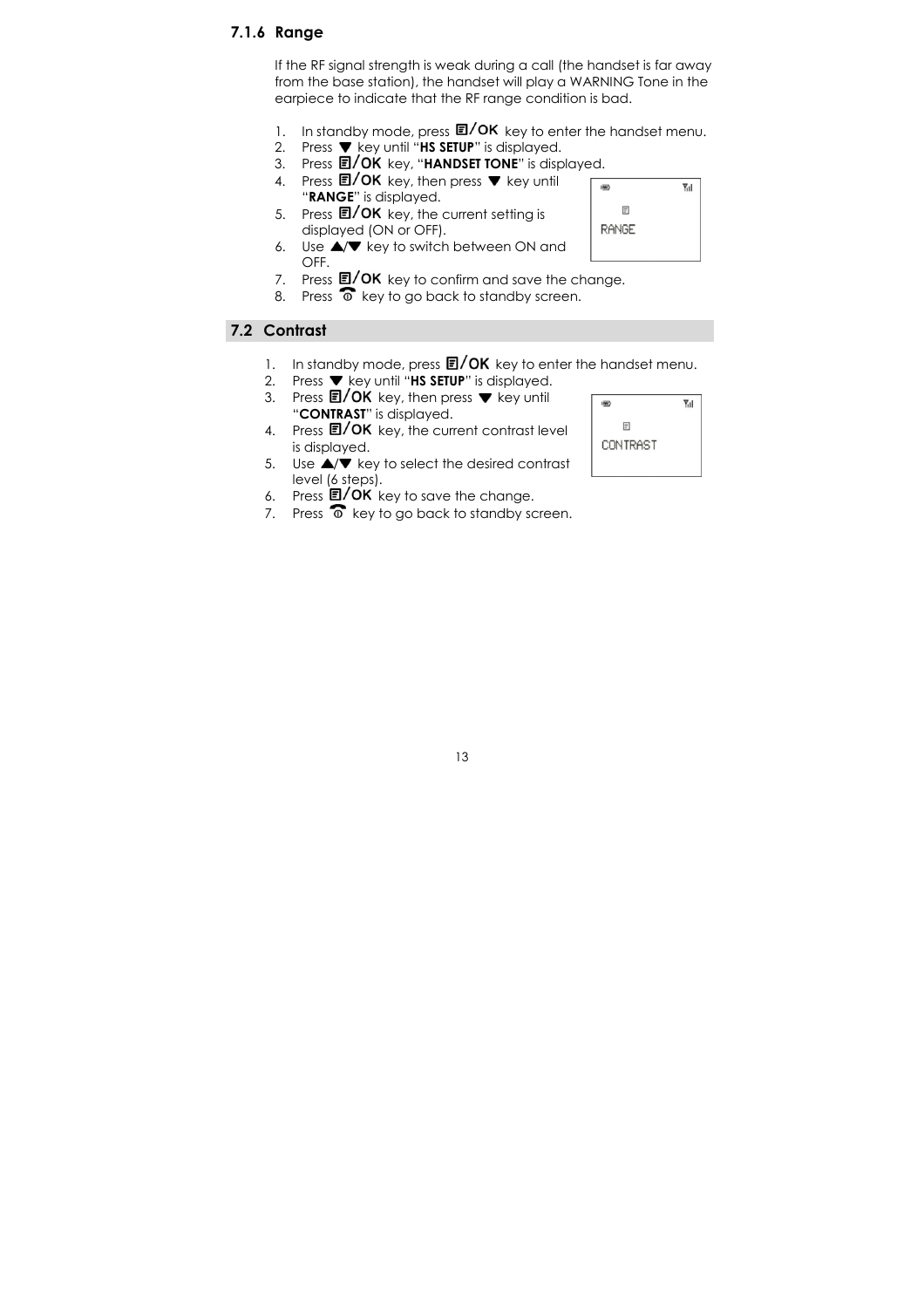#### 7.1.6 Range

If the RF signal strength is weak during a call (the handset is far away from the base station), the handset will play a WARNING Tone in the earpiece to indicate that the RF range condition is bad.

- 1. In standby mode, press  $\Box/\mathrm{OK}$  key to enter the handset menu.
- 2. Press  $\blacktriangledown$  key until "HS SETUP" is displayed.
- 3. Press **EI/OK** key, "**HANDSET TONE**" is displayed.
- 4. Press  $\blacksquare / OK$  key, then press  $\blacktriangledown$  key until "RANGE" is displayed.
- 5. Press  $\blacksquare / OK$  key, the current setting is displayed (ON or OFF).
- 6. Use  $\triangle/\blacktriangledown$  key to switch between ON and OFF.
- 7. Press  $\Box / OK$  key to confirm and save the change.
- 8. Press  $\widehat{\bullet}$  key to go back to standby screen.

### 7.2 Contrast

- 1. In standby mode, press  $\mathbb{E}/\mathsf{OK}$  key to enter the handset menu.
- 2. Press  $\blacktriangledown$  key until "HS SETUP" is displayed.
- 3. Press  $\blacksquare / OK$  key, then press  $\blacktriangledown$  key until "CONTRAST" is displayed.
- 4. Press  $\mathbf{E}/\mathbf{OK}$  key, the current contrast level is displayed.
- 5. Use  $\triangle/\blacktriangledown$  key to select the desired contrast level (6 steps).
- 6. Press  $E$ / OK key to save the change.
- 7. Press  $\widehat{\bullet}$  key to go back to standby screen.



 $\overline{m}$ 

 $\boxdot$ RANGE **Y**ul

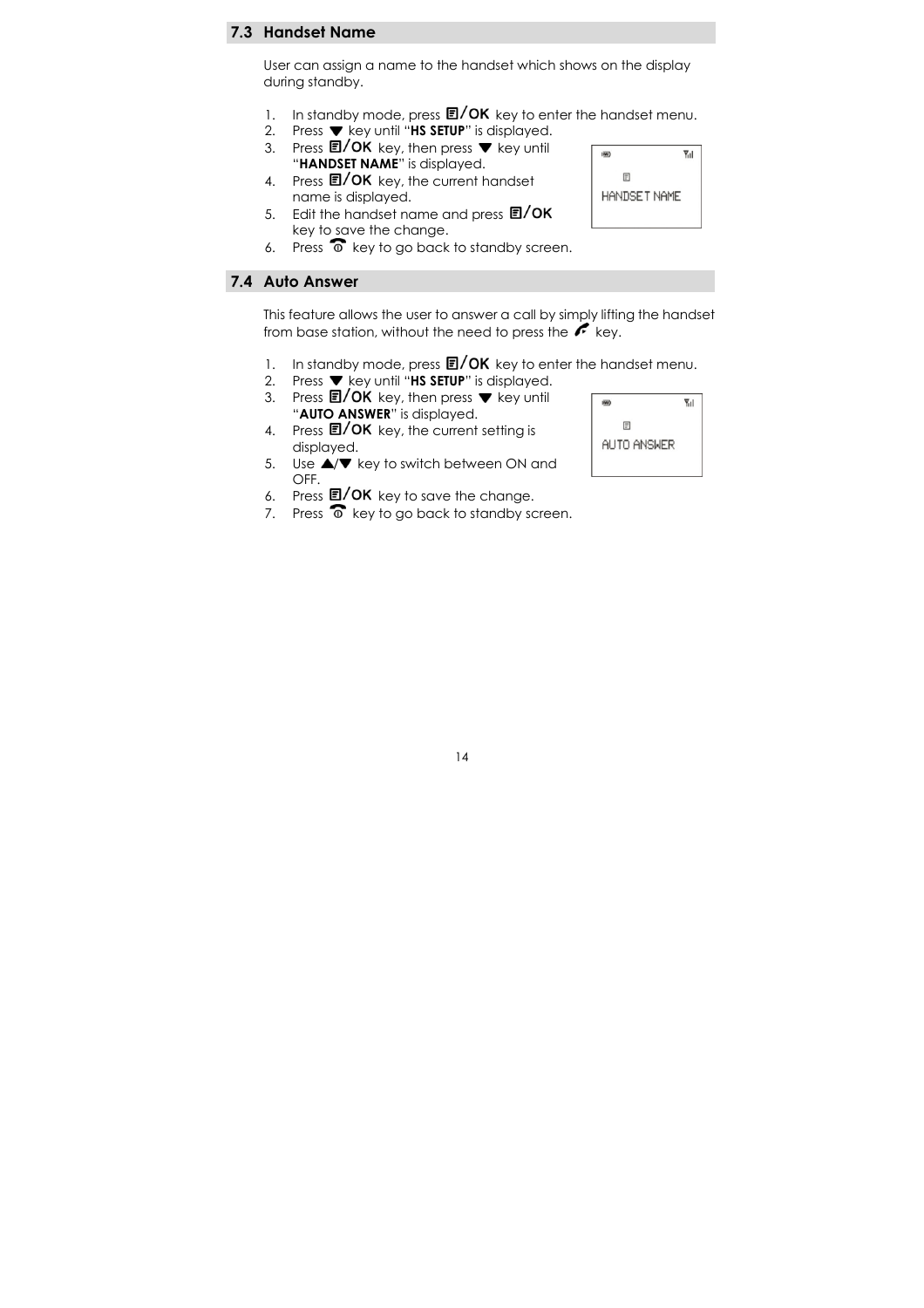### 7.3 Handset Name

User can assign a name to the handset which shows on the display during standby.

- 1. In standby mode, press  $\mathbb{E}/\mathsf{OK}$  key to enter the handset menu.
- 2. Press  $\blacktriangledown$  key until "HS SETUP" is displayed.
- 3. Press  $\blacksquare/OK$  key, then press  $\nabla$  key until "HANDSET NAME" is displayed.
- 4. Press **E/OK** key, the current handset name is displayed.
- 5. Edit the handset name and press  $\Box / OK$ key to save the change.
- 6. Press  $\widehat{\bullet}$  key to go back to standby screen.

### 7.4 Auto Answer

This feature allows the user to answer a call by simply lifting the handset from base station, without the need to press the  $k$  key.

- 1. In standby mode, press  $\Box/\text{OK}$  key to enter the handset menu.<br>2. Press  $\blacktriangledown$  key until "HS SETUP" is displayed.
- Press  $\blacktriangledown$  key until "HS SETUP" is displayed.
- 3. Press  $\blacksquare / OK$  key, then press  $\blacktriangledown$  key until "AUTO ANSWER" is displayed.
- 4. Press  $\mathbf{E}/\mathbf{OK}$  key, the current setting is displayed.
- 5. Use  $\triangle/\blacktriangledown$  key to switch between ON and OFF.
- 6. Press  $\Box$ / OK key to save the change.
- 7. Press  $\widehat{\bullet}$  key to go back to standby screen.



 $\overline{\mathbf{m}}$ 

 $\mathbb{F}$ HANDSET NAME

 $\overline{Y}_{11}$ 

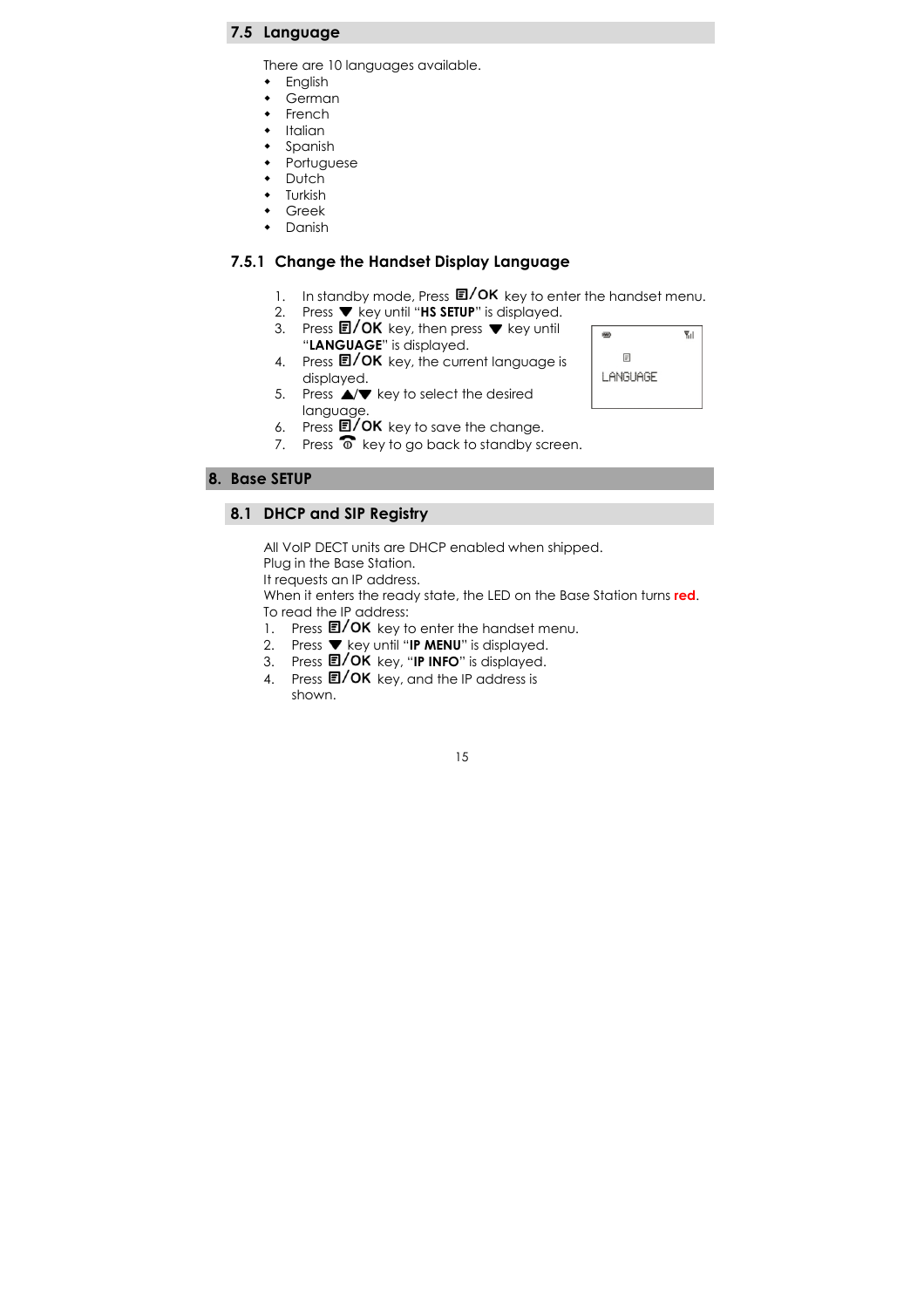### 7.5 Language

There are 10 languages available.

- **+** English
- $\begin{matrix} \bullet \\ \bullet \end{matrix}$  German
- French
- Italian
- Spanish
- Portuguese
- **Dutch**
- Turkish
- Greek • Danish

### 7.5.1 Change the Handset Display Language

- 1. In standby mode, Press  $\Box / OK$  key to enter the handset menu.
- 2. Press  $\blacktriangledown$  key until "HS SETUP" is displayed.
- 3. Press  $\blacksquare / OK$  key, then press  $\blacktriangledown$  key until "LANGUAGE" is displayed.
- 4. Press  $\blacksquare / OK$  key, the current language is displayed.



- 5. Press  $\triangle/\blacktriangledown$  key to select the desired language.
- 6. Press  $E/OK$  key to save the change.
- 7. Press  $\overline{\textcircled{\circ}}$  key to go back to standby screen.

#### 8. Base SETUP

#### 8.1 DHCP and SIP Registry

All VoIP DECT units are DHCP enabled when shipped.

Plug in the Base Station. It requests an IP address.

When it enters the ready state, the LED on the Base Station turns red. To read the IP address:

- 1. Press  $E/OK$  key to enter the handset menu.
- 2. Press  $\blacktriangledown$  key until "IP MENU" is displayed.
- 3. Press 国/ OK key, "IP INFO" is displayed.
- 4. Press  $\Box / OK$  key, and the IP address is shown.

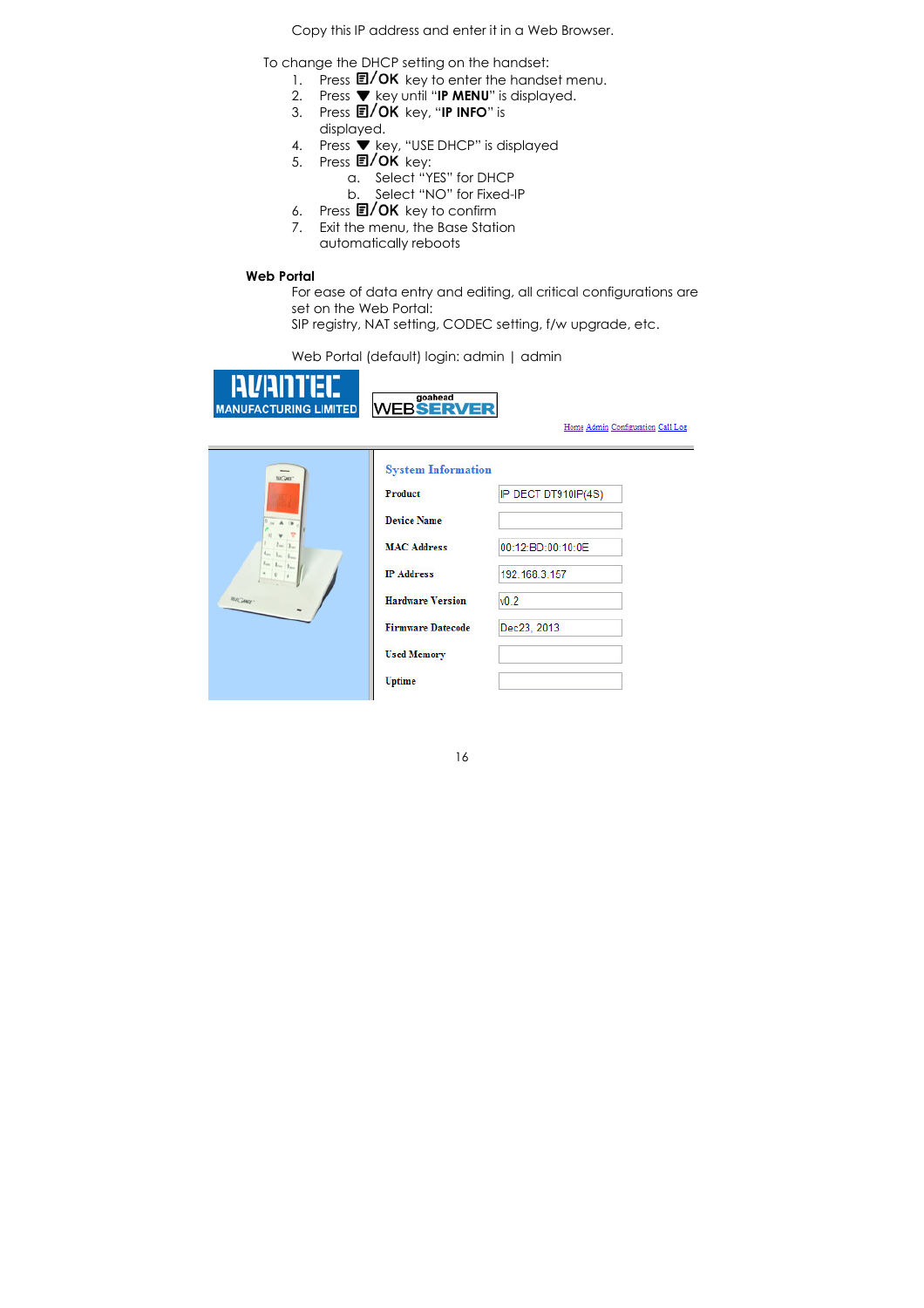Copy this IP address and enter it in a Web Browser.

To change the DHCP setting on the handset:

- 1. Press  $E/OK$  key to enter the handset menu.
- 2. Press  $\blacktriangledown$  key until "IP MENU" is displayed.
- 3. Press 国/ OK key, "IP INFO" is displayed.
- 4. Press  $\overline{\bullet}$  key, "USE DHCP" is displayed<br>5. Press  $\overline{\mathbb{E}}$ /OK key:
- Press  $E/OK$  key:
	- a. Select "YES" for DHCP
	- b. Select "NO" for Fixed-IP
- 
- 6. Press  $\Box / OK$  key to confirm<br>7. Exit the menu, the Base Stati Exit the menu, the Base Station automatically reboots
- 

### Web Portal

For ease of data entry and editing, all critical configurations are set on the Web Portal:

SIP registry, NAT setting, CODEC setting, f/w upgrade, etc.

Web Portal (default) login: admin | admin



**System Information**  $\overline{wc}$ IP DECT DT910IP(4S) Product **Device Name MAC Address** 00:12:BD:00:10:0E 192.168.3.157 **IP Address Hardware Version**  $v0.2$ Dec23, 2013 **Firmware Datecode Used Memory** Uptime

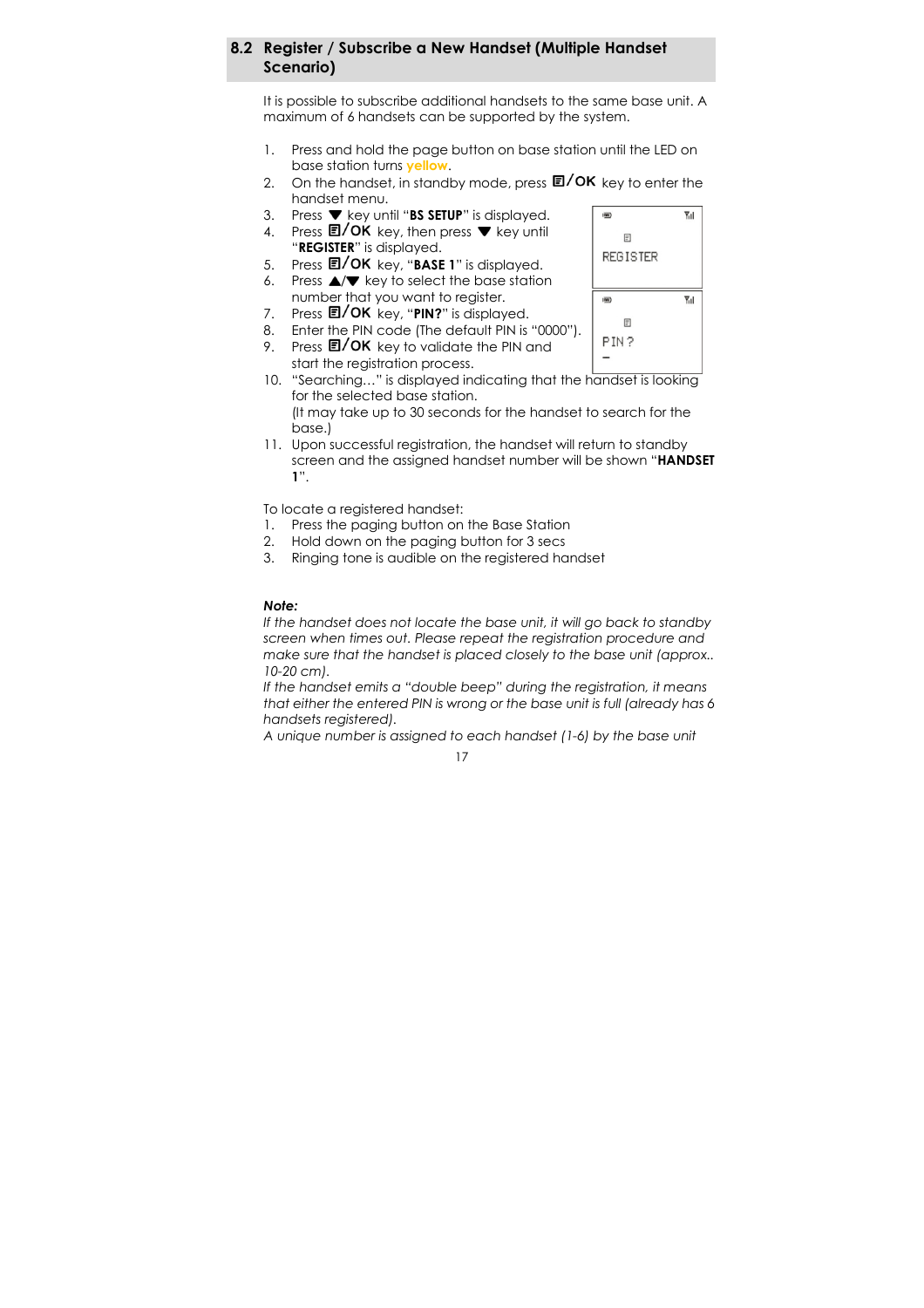### 8.2 Register / Subscribe a New Handset (Multiple Handset Scenario)

It is possible to subscribe additional handsets to the same base unit. A maximum of 6 handsets can be supported by the system.

- 1. Press and hold the page button on base station until the LED on base station turns yellow.
- 2. On the handset, in standby mode, press  $\Box/\text{OK}$  key to enter the handset menu.
- 3. Press  $\blacktriangledown$  key until "BS SETUP" is displayed.
- 4. Press  $\blacksquare / OK$  key, then press  $\blacktriangledown$  key until
- "REGISTER" is displayed.
- 5. Press  $\blacksquare / OK$  key, "BASE 1" is displayed. 6. Press  $\triangle/\blacktriangledown$  key to select the base station number that you want to register.
- 7. Press  $\Box$ / OK key, "PIN?" is displayed.
- 8. Enter the PIN code (The default PIN is "0000").
- 9. Press  $\mathbb{E}/\mathsf{OK}$  key to validate the PIN and
- start the registration process.
- 10. "Searching…" is displayed indicating that the handset is looking for the selected base station. (It may take up to 30 seconds for the handset to search for the
- base.) 11. Upon successful registration, the handset will return to standby screen and the assigned handset number will be shown "HANDSET 1".

To locate a registered handset:

- 1. Press the paging button on the Base Station
- 2. Hold down on the paging button for 3 secs
- 3. Ringing tone is audible on the registered handset

#### Note:

If the handset does not locate the base unit, it will go back to standby screen when times out. Please repeat the registration procedure and make sure that the handset is placed closely to the base unit (approx.. 10-20 cm).

If the handset emits a "double beep" during the registration, it means that either the entered PIN is wrong or the base unit is full (already has 6 handsets registered).

A unique number is assigned to each handset (1-6) by the base unit



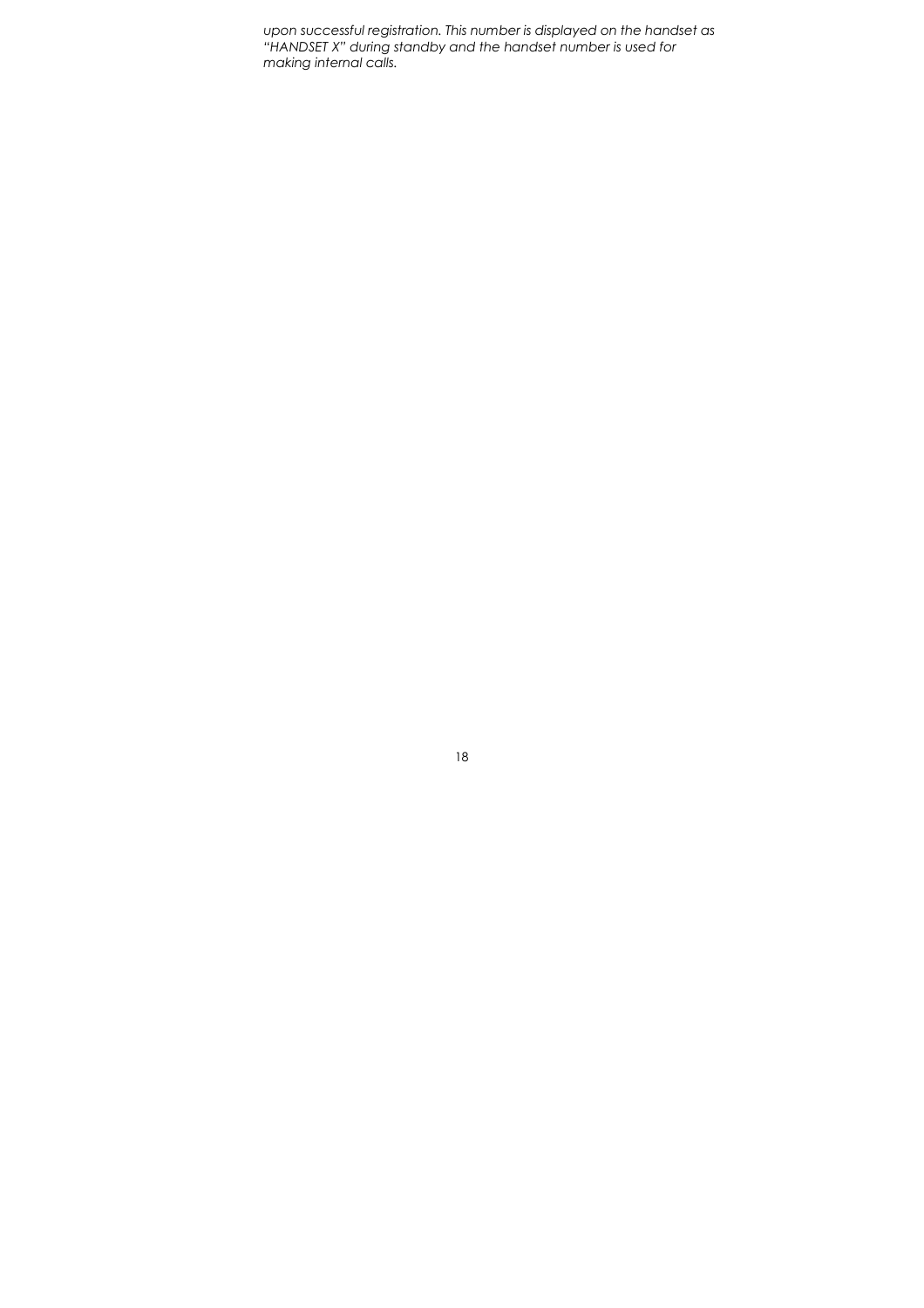upon successful registration. This number is displayed on the handset as "HANDSET X" during standby and the handset number is used for making internal calls.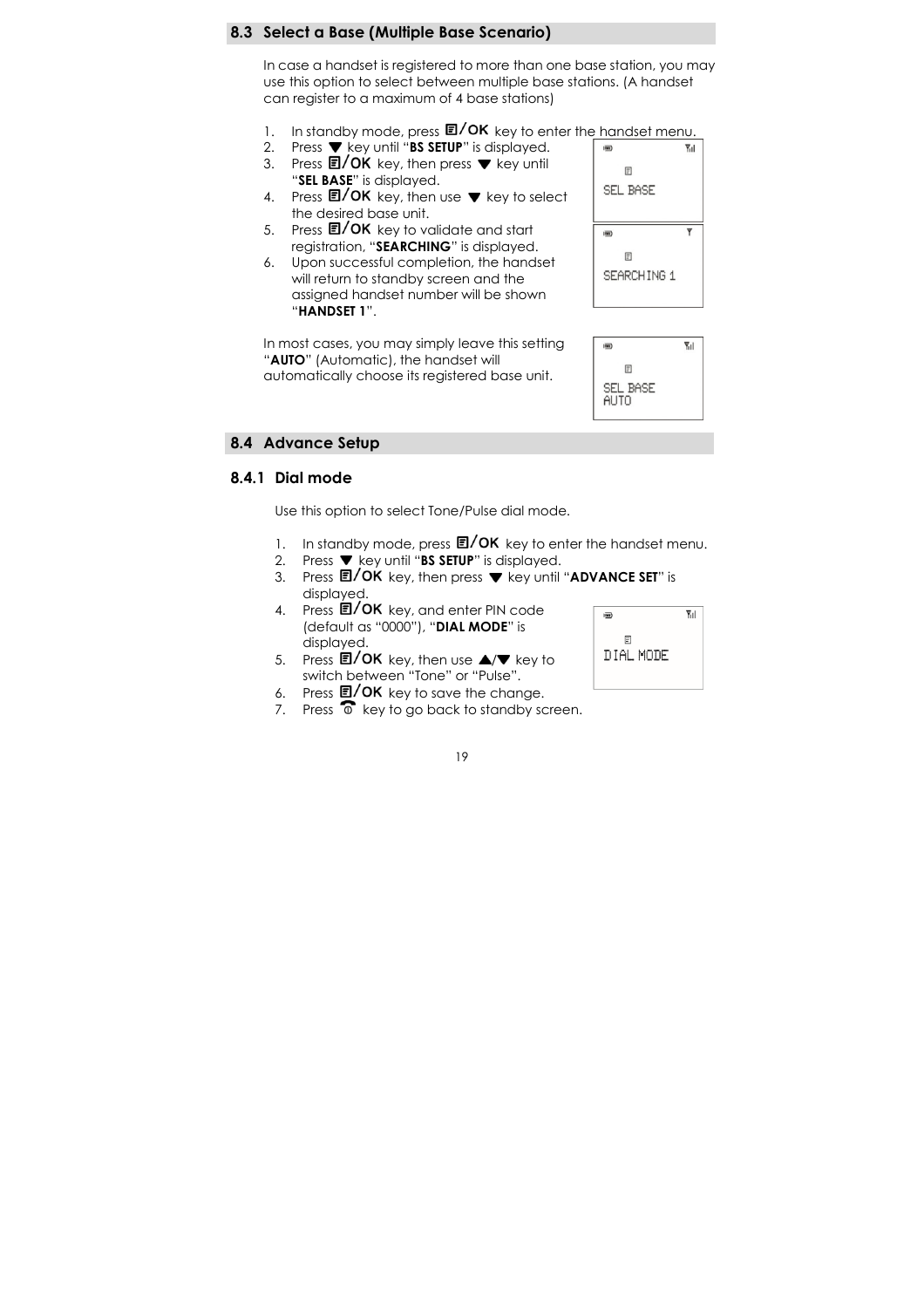#### 8.3 Select a Base (Multiple Base Scenario)

In case a handset is registered to more than one base station, you may use this option to select between multiple base stations. (A handset can register to a maximum of 4 base stations)

- 1. In standby mode, press  $\Box/\mathrm{OK}$  key to enter the handset menu.
- 2. Press  $\blacktriangledown$  key until "BS SETUP" is displayed.
- 3. Press  $\blacksquare / OK$  key, then press  $\blacktriangledown$  key until "SEL BASE" is displayed.
- 4. Press  $\blacksquare / \mathsf{OK}$  key, then use  $\blacktriangledown$  key to select the desired base unit.
- 5. Press  $\blacksquare / OK$  key to validate and start registration, "SEARCHING" is displayed.
- 6. Upon successful completion, the handset will return to standby screen and the assigned handset number will be shown "HANDSET 1".

In most cases, you may simply leave this setting "AUTO" (Automatic), the handset will automatically choose its registered base unit.





#### 8.4 Advance Setup

### 8.4.1 Dial mode

Use this option to select Tone/Pulse dial mode.

- 1. In standby mode, press  $\Box/\mathrm{OK}$  key to enter the handset menu.
- 2. Press  $\blacktriangledown$  key until "BS SETUP" is displayed.
- 3. Press  $\mathbb{E}/OK$  key, then press  $\nabla$  key until "ADVANCE SET" is displayed.
- $4.$  Press  $\Box$ /OK key, and enter PIN code (default as "0000"), "DIAL MODE" is displayed.
- 5. Press  $\blacksquare / OK$  key, then use  $\blacktriangle / \blacktriangledown$  key to switch between "Tone" or "Pulse".
- 6. Press  $\Box$ / OK key to save the change.
- 7. Press  $\widehat{\bullet}$  key to go back to standby screen.

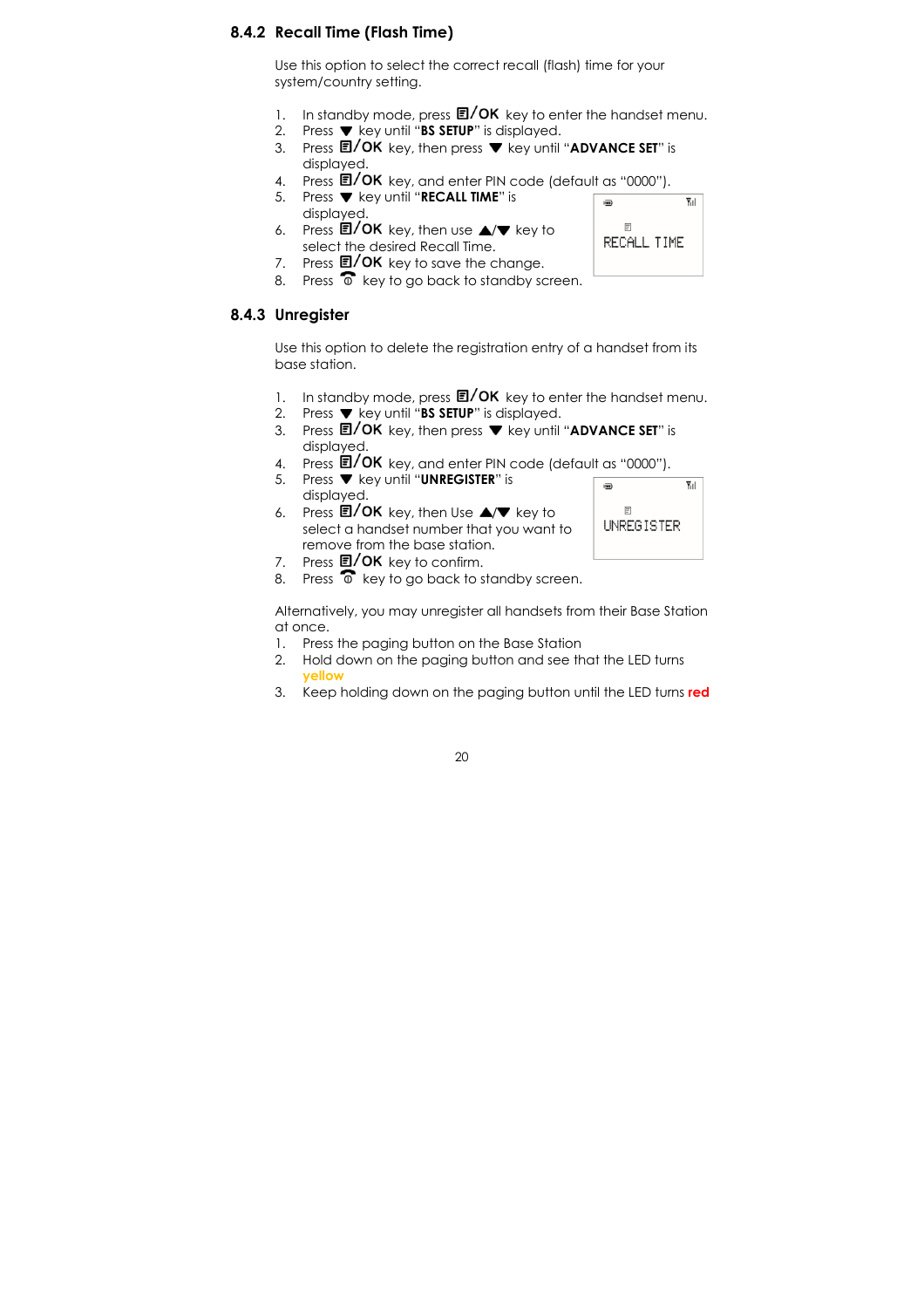### 8.4.2 Recall Time (Flash Time)

Use this option to select the correct recall (flash) time for your system/country setting.

- 1. In standby mode, press  $\Box/\mathrm{OK}$  key to enter the handset menu.
- 2. Press  $\blacktriangledown$  key until "BS SETUP" is displayed.
- 3. Press  $\blacksquare$ / OK key, then press  $\blacktriangledown$  key until "ADVANCE SET" is displayed.
- 4. Press  $\overline{E}/OK$  key, and enter PIN code (default as "0000").<br>5. Press  $\nabla$  key until "RECALL TIME" is
- Press ▼ key until "RECALL TIME" is displayed.
- 6. Press  $\Box$ / OK key, then use  $\triangle$ / $\nabla$  key to select the desired Recall Time.
- 7. Press  $\Box$ / OK key to save the change.
- 8. Press  $\widehat{\bullet}$  key to go back to standby screen.

### 8.4.3 Unregister

Use this option to delete the registration entry of a handset from its base station.

- 1. In standby mode, press  $\Box / OK$  key to enter the handset menu.
- 2. Press  $\blacktriangledown$  key until "BS SETUP" is displayed.
- 3. Press  $\mathbb{E}/OK$  key, then press  $\blacktriangledown$  key until "ADVANCE SET" is displayed.
- 4. Press  $\mathbf{E}/\mathbf{OK}$  key, and enter PIN code (default as "0000").
- 5. Press  $\nabla$  key until "UNREGISTER" is
	- displayed.
- 6. Press  $\Box$ / OK key, then Use  $\Box/\Box$  key to select a handset number that you want to remove from the base station.
- 7. Press  $\blacksquare / OK$  key to confirm.
- 8. Press  $\overline{\bullet}$  key to go back to standby screen.

Alternatively, you may unregister all handsets from their Base Station at once.

- 1. Press the paging button on the Base Station
- 2. Hold down on the paging button and see that the LED turns yellow
- 3. Keep holding down on the paging button until the LED turns red





 $\overline{Y}_{11}$ 

 $\overline{m}$ 

 $\mathop{\boxplus}$ UNREGISTER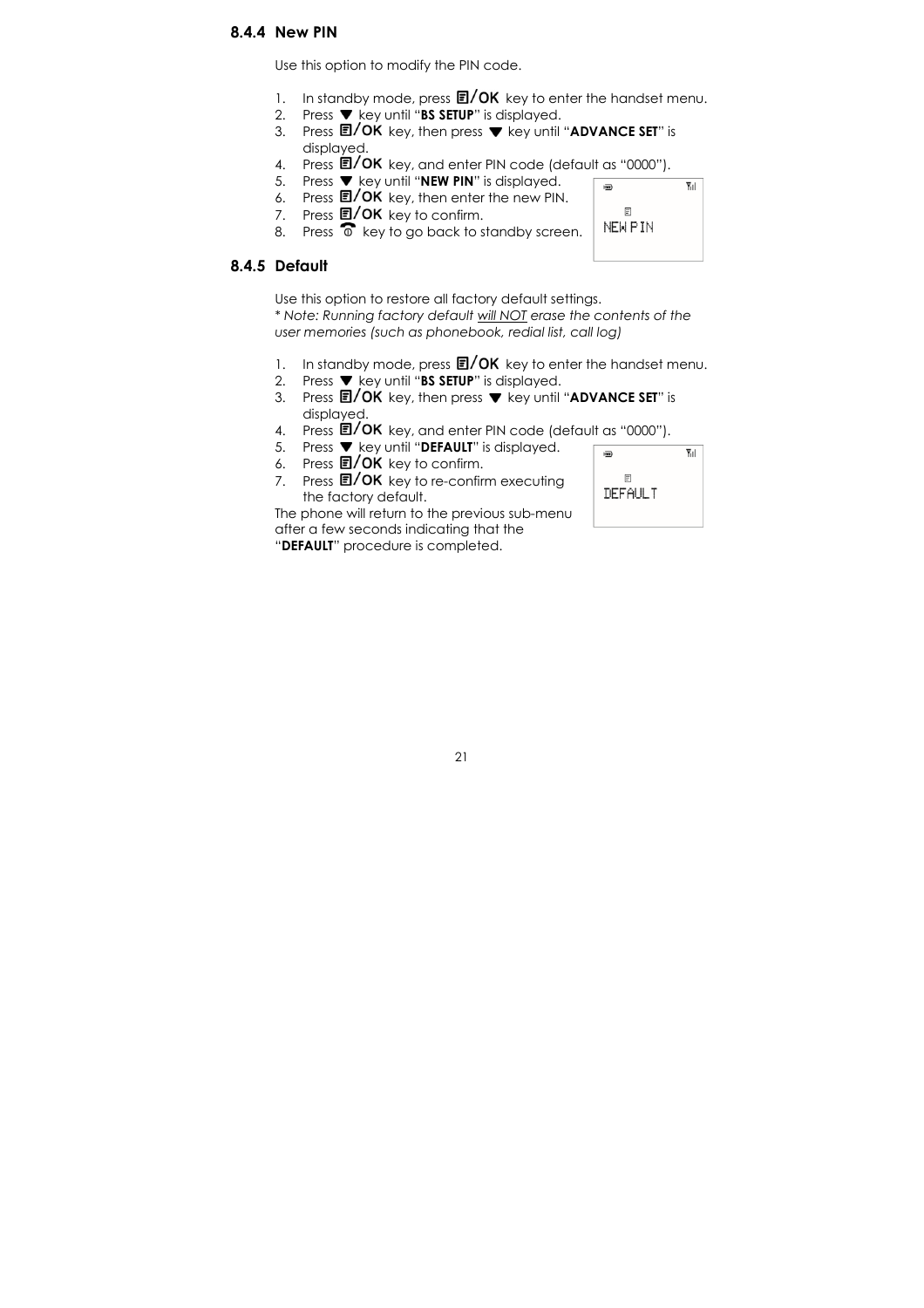### 8.4.4 New PIN

Use this option to modify the PIN code.

- 1. In standby mode, press  $\Box /OK$  key to enter the handset menu.
- 2. Press  $\blacktriangledown$  key until "BS SETUP" is displayed.
- 3. Press  $\blacksquare / OK$  key, then press  $\blacktriangledown$  key until "ADVANCE SET" is displayed.
- 4. Press **E/OK** key, and enter PIN code (default as "0000").
- 5. Press  $\blacktriangledown$  key until "NEW PIN" is displayed.  $\overline{m}$
- 6. Press **国/ OK** key, then enter the new PIN.
- 
- 7. Press  $\Box / OK$  key to confirm.<br>8. Press  $\widehat{\circ}$  key to go back to st Press  $\widehat{\bullet}$  key to go back to standby screen.

### 8.4.5 Default

Use this option to restore all factory default settings. \* Note: Running factory default will NOT erase the contents of the user memories (such as phonebook, redial list, call log)

- 1. In standby mode, press  $\Box/\mathrm{OK}$  key to enter the handset menu.
- 2. Press  $\blacktriangledown$  key until "BS SETUP" is displayed.
- 3. Press  $\blacksquare / OK$  key, then press  $\nabla$  key until "ADVANCE SET" is displayed.
- 4. Press **E/OK** key, and enter PIN code (default as "0000").
- 5. Press  $\blacktriangledown$  key until "DEFAULT" is displayed.
- 6. Press  $\blacksquare / OK$  key to confirm.
- 7. Press  $\Box$ / OK key to re-confirm executing the factory default.

The phone will return to the previous sub-menu after a few seconds indicating that the "DEFAULT" procedure is completed.

 $\overline{Y}_{11}$  $\overline{m}$  $\mathbb{F}$ DEFAULT

Υıl

 $\mathbb{F}$ NEW PIN

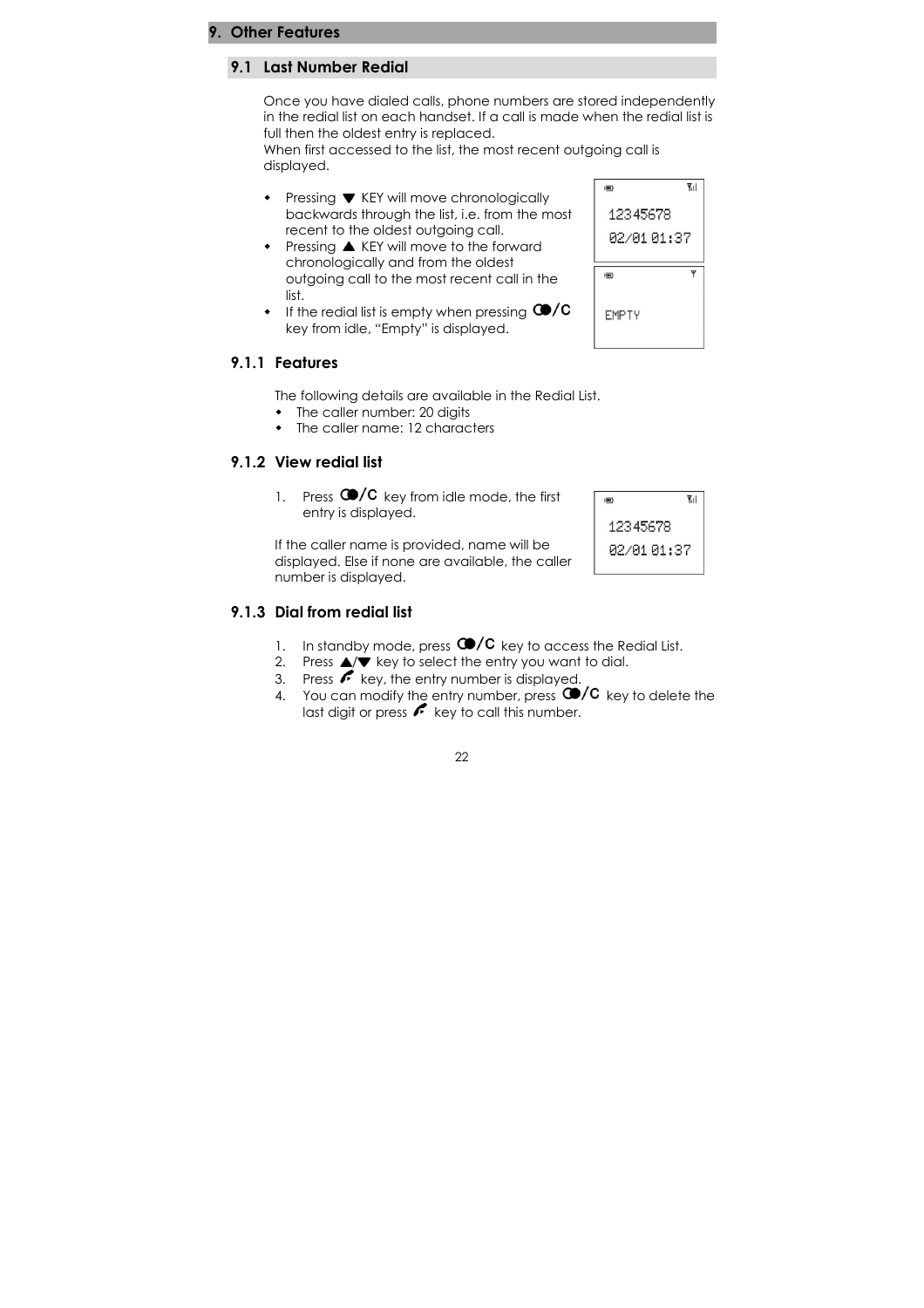#### 9. Other Features

#### 9.1 Last Number Redial

Once you have dialed calls, phone numbers are stored independently in the redial list on each handset. If a call is made when the redial list is full then the oldest entry is replaced.

When first accessed to the list, the most recent outgoing call is displayed.

- $\cdot$  Pressing  $\nabla$  KEY will move chronologically backwards through the list, i.e. from the most recent to the oldest outgoing call.
- Pressing  $\triangle$  KEY will move to the forward chronologically and from the oldest outgoing call to the most recent call in the list.
- $\cdot$  If the redial list is empty when pressing  $\bigcirc$ /C key from idle, "Empty" is displayed.

## 12345678 02/01 01:37  $\overline{\mathbf{y}}$  $\overline{m}$ **EMPTY**

國

 $\Psi$ il

#### 9.1.1 Features

The following details are available in the Redial List.

- The caller number: 20 digits
- The caller name: 12 characters

#### 9.1.2 View redial list

1. Press  $\bigcirc$  /C key from idle mode, the first entry is displayed.

If the caller name is provided, name will be displayed. Else if none are available, the caller number is displayed.



### 9.1.3 Dial from redial list

- 1. In standby mode, press  $\bigcirc$ /C key to access the Redial List.
- 2. Press  $\triangle/\blacktriangledown$  key to select the entry you want to dial.
- $\overline{\mathbf{3}}$ . Press  $\overline{\mathbf{6}}$  key, the entry number is displayed.
- 4. You can modify the entry number, press  $\bigcirc$  /C key to delete the last digit or press  $\leftarrow$  key to call this number.

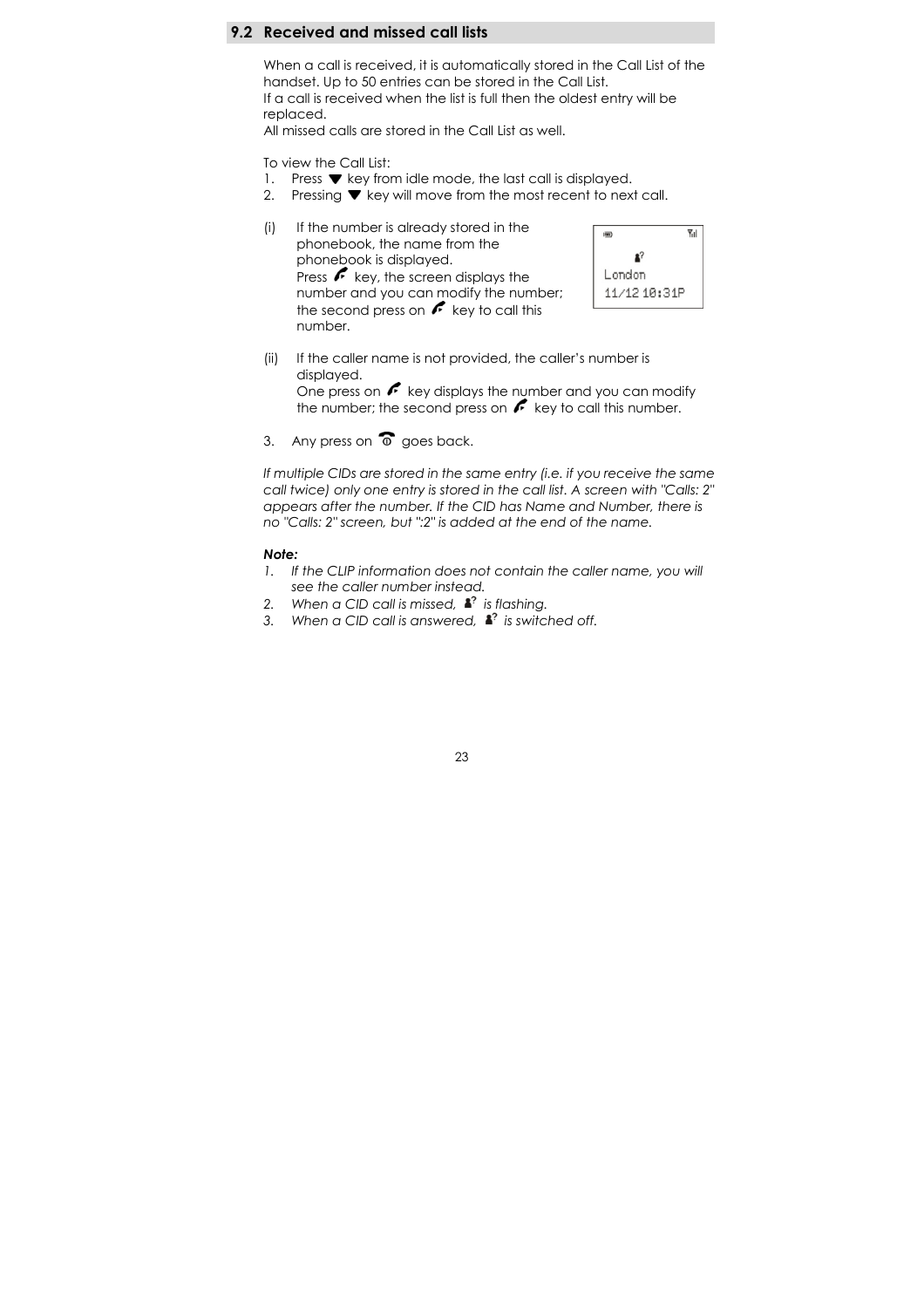### 9.2 Received and missed call lists

When a call is received, it is automatically stored in the Call List of the handset. Up to 50 entries can be stored in the Call List. If a call is received when the list is full then the oldest entry will be replaced.

All missed calls are stored in the Call List as well.

To view the Call List:

- 1. Press  $\blacktriangledown$  key from idle mode, the last call is displayed.
- 2. Pressing  $\blacktriangledown$  key will move from the most recent to next call.
- (i) If the number is already stored in the phonebook, the name from the phonebook is displayed. Press  $f$  key, the screen displays the number and you can modify the number; the second press on  $\mathcal F$  key to call this number.



- (ii) If the caller name is not provided, the caller's number is displayed. One press on  $\curvearrowleft$  key displays the number and you can modify the number; the second press on  $\mathcal F$  key to call this number.
- 3. Any press on  $\widehat{\circ}$  goes back.

If multiple CIDs are stored in the same entry (i.e. if you receive the same call twice) only one entry is stored in the call list. A screen with "Calls: 2" appears after the number. If the CID has Name and Number, there is no "Calls: 2" screen, but ":2" is added at the end of the name.

#### Note:

- 1. If the CLIP information does not contain the caller name, you will see the caller number instead.
- 2. When a CID call is missed,  $\mathbf{a}^2$  is flashing.
- 3. When a CID call is answered,  $\mathbf{I}^2$  is switched off.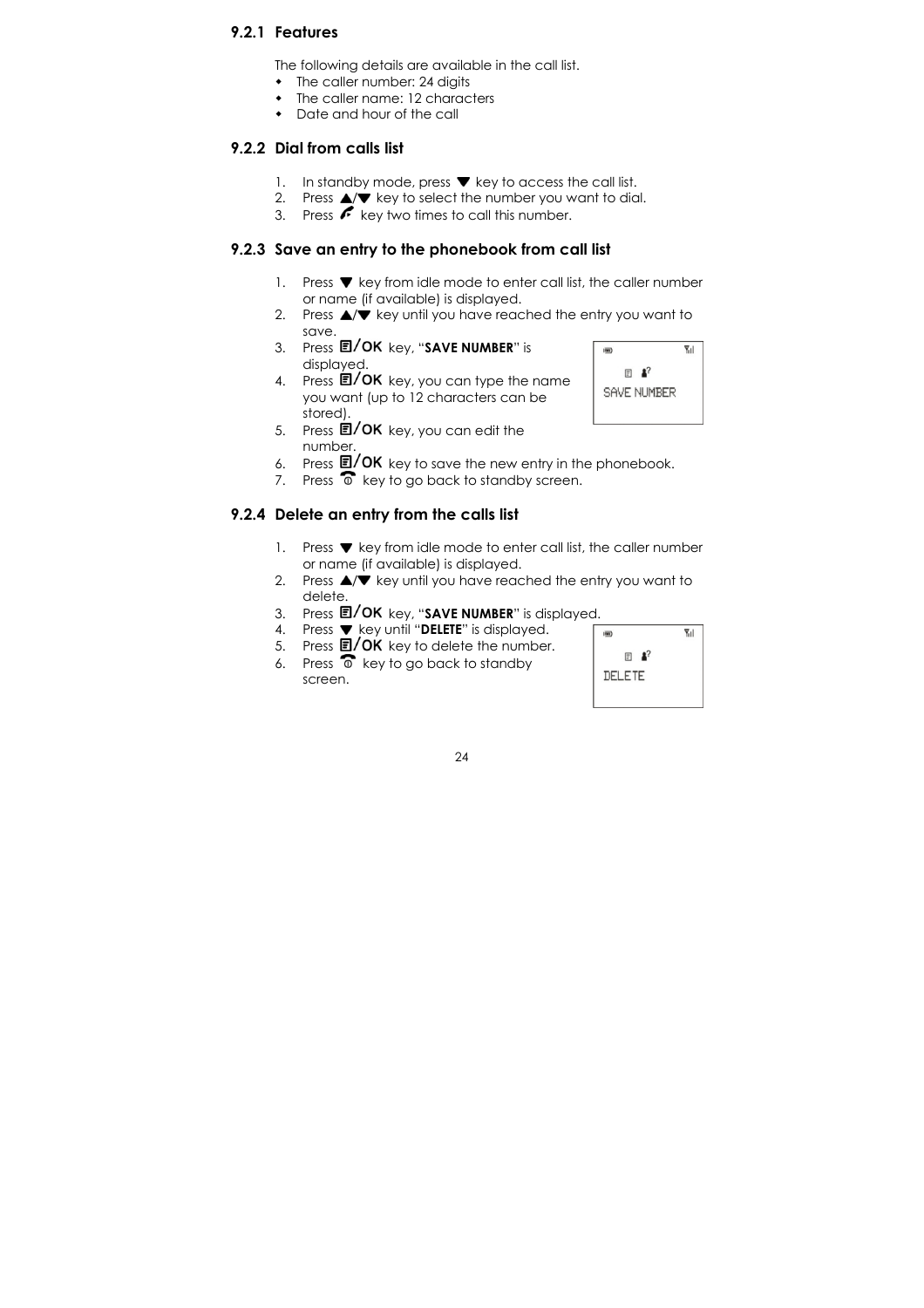### 9.2.1 Features

The following details are available in the call list.

- $\bullet$  The caller number: 24 digits
- The caller name: 12 characters
- Date and hour of the call

#### 9.2.2 Dial from calls list

- 1. In standby mode, press  $\blacktriangledown$  key to access the call list.
- 2. Press  $\triangle/\triangledown$  key to select the number you want to dial.
- 3. Press  $\curvearrowleft$  key two times to call this number.

### 9.2.3 Save an entry to the phonebook from call list

- 1. Press  $\blacktriangledown$  key from idle mode to enter call list, the caller number or name (if available) is displayed.
- 2. Press  $\triangle/\triangledown$  key until you have reached the entry you want to save.
- 3. Press  $\blacksquare / OK$  key, "SAVE NUMBER" is displayed.
- 4. Press  $\blacksquare / \mathsf{OK}$  key, you can type the name you want (up to 12 characters can be stored).
- 5. Press  $\overline{E}/OK$  key, you can edit the number.
- 6. Press  $\mathbf{E}/\mathbf{OK}$  key to save the new entry in the phonebook.
- 7. Press  $\widehat{\bullet}$  key to go back to standby screen.

#### 9.2.4 Delete an entry from the calls list

- 1. Press  $\blacktriangledown$  key from idle mode to enter call list, the caller number or name (if available) is displayed.
- 2. Press  $\triangle/\triangledown$  key until you have reached the entry you want to delete.
- 3. Press  $\mathbb{E}/\mathsf{OK}$  key, "SAVE NUMBER" is displayed.
- 4. Press  $\blacktriangledown$  key until "DELETE" is displayed.
- 5. Press **囯/ OK** key to delete the number.
- 6. Press  $\widehat{\bullet}$  key to go back to standby screen.



 $\Psi_{\text{H}}$ 

 $\overline{\mathbf{m}}$ 

 $E^2$ SAVE NUMBER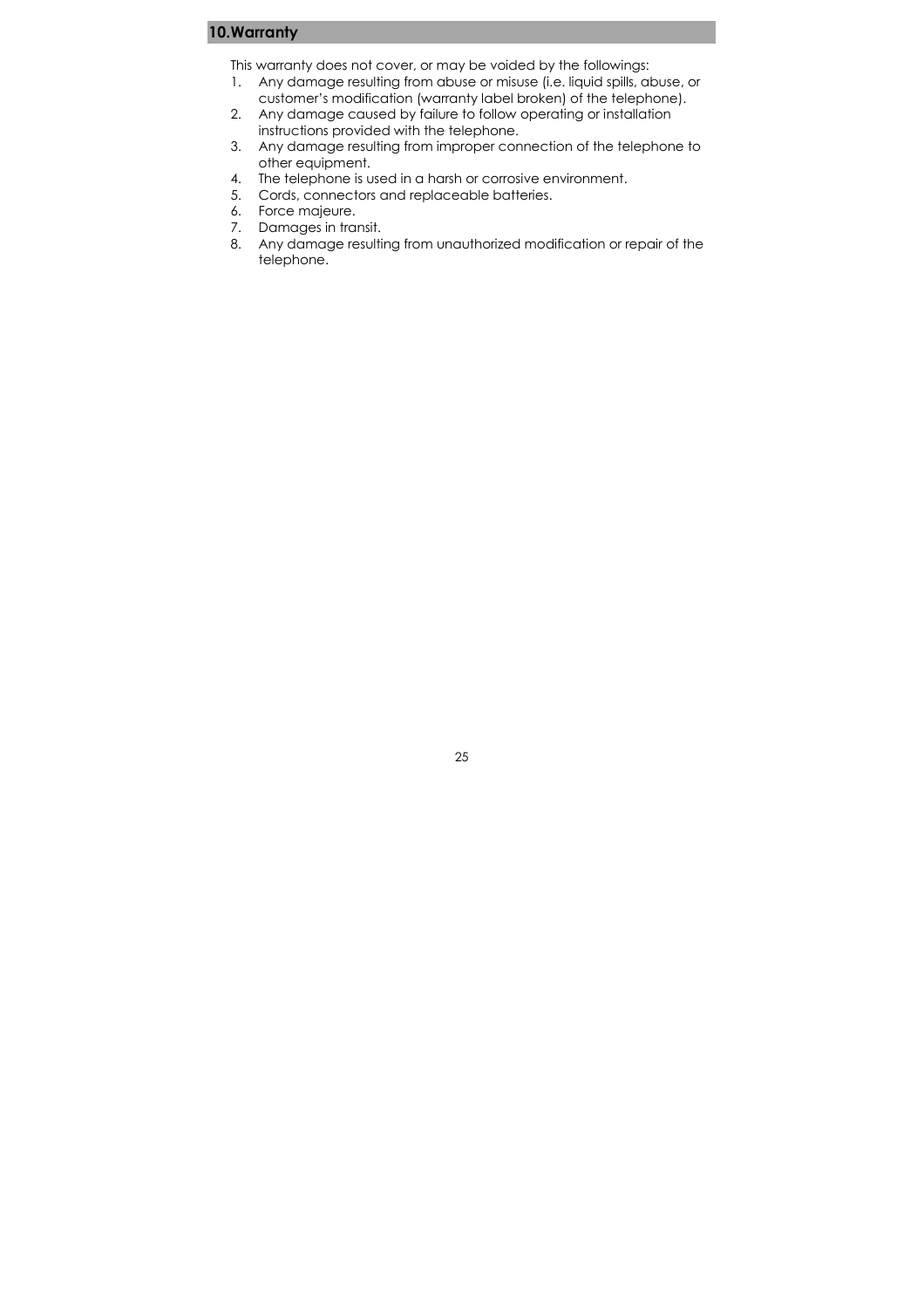### 10.Warranty

This warranty does not cover, or may be voided by the followings:

- 1. Any damage resulting from abuse or misuse (i.e. liquid spills, abuse, or customer's modification (warranty label broken) of the telephone).
- 2. Any damage caused by failure to follow operating or installation instructions provided with the telephone.
- 3. Any damage resulting from improper connection of the telephone to other equipment.
- 4. The telephone is used in a harsh or corrosive environment.
- 5. Cords, connectors and replaceable batteries.
- 6. Force majeure.
- 7. Damages in transit.
- 8. Any damage resulting from unauthorized modification or repair of the telephone.